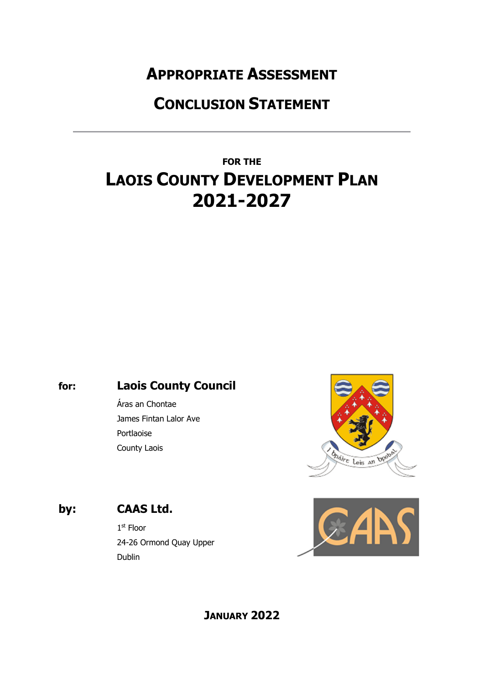## **APPROPRIATE ASSESSMENT**

## **CONCLUSION STATEMENT**

# **FOR THE LAOIS COUNTY DEVELOPMENT PLAN 2021-2027**

### **for: Laois County Council**

Áras an Chontae James Fintan Lalor Ave Portlaoise County Laois



### **by: CAAS Ltd.**

1st Floor 24-26 Ormond Quay Upper Dublin



### **JANUARY 2022**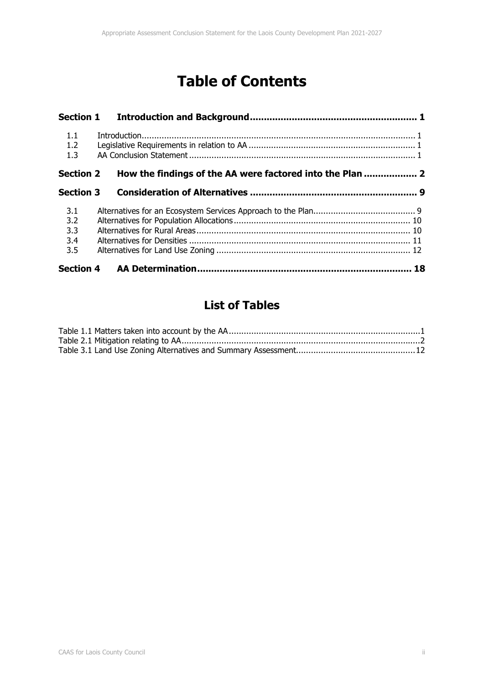## **Table of Contents**

| 1.1<br>1.2<br>1.3               | $\label{eq:interadd} \textit{Introduction}$               |  |
|---------------------------------|-----------------------------------------------------------|--|
| <b>Section 2</b>                | How the findings of the AA were factored into the Plan  2 |  |
| <b>Section 3</b>                |                                                           |  |
| 3.1<br>3.2<br>3.3<br>3.4<br>3.5 |                                                           |  |
|                                 |                                                           |  |

### **List of Tables**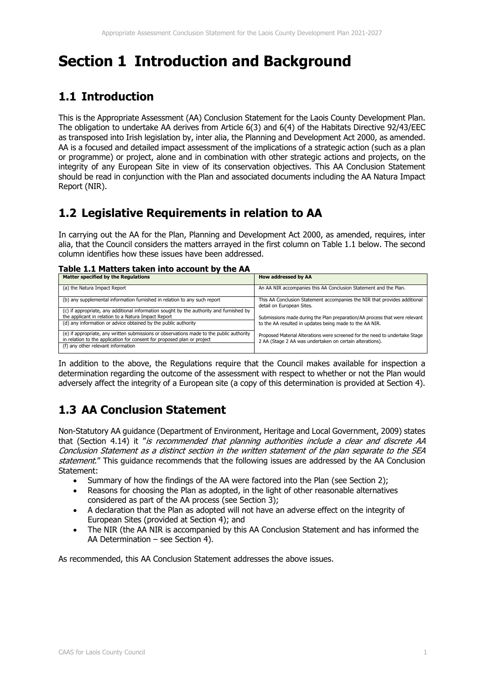## **Section 1 Introduction and Background**

### **1.1 Introduction**

This is the Appropriate Assessment (AA) Conclusion Statement for the Laois County Development Plan. The obligation to undertake AA derives from Article 6(3) and 6(4) of the Habitats Directive 92/43/EEC as transposed into Irish legislation by, inter alia, the Planning and Development Act 2000, as amended. AA is a focused and detailed impact assessment of the implications of a strategic action (such as a plan or programme) or project, alone and in combination with other strategic actions and projects, on the integrity of any European Site in view of its conservation objectives. This AA Conclusion Statement should be read in conjunction with the Plan and associated documents including the AA Natura Impact Report (NIR).

### **1.2 Legislative Requirements in relation to AA**

In carrying out the AA for the Plan, Planning and Development Act 2000, as amended, requires, inter alia, that the Council considers the matters arrayed in the first column on Table 1.1 below. The second column identifies how these issues have been addressed.

| Table 1.1 Matters taken into account by the AA |
|------------------------------------------------|
|------------------------------------------------|

| <b>Matter specified by the Regulations</b>                                                                                                                          | How addressed by AA                                                                                    |
|---------------------------------------------------------------------------------------------------------------------------------------------------------------------|--------------------------------------------------------------------------------------------------------|
| (a) the Natura Impact Report                                                                                                                                        | An AA NIR accompanies this AA Conclusion Statement and the Plan.                                       |
| (b) any supplemental information furnished in relation to any such report                                                                                           | This AA Conclusion Statement accompanies the NIR that provides additional<br>detail on European Sites. |
| (c) if appropriate, any additional information sought by the authority and furnished by                                                                             |                                                                                                        |
| the applicant in relation to a Natura Impact Report                                                                                                                 | Submissions made during the Plan preparation/AA process that were relevant                             |
| (d) any information or advice obtained by the public authority                                                                                                      | to the AA resulted in updates being made to the AA NIR.                                                |
| (e) if appropriate, any written submissions or observations made to the public authority<br>in relation to the application for consent for proposed plan or project | Proposed Material Alterations were screened for the need to undertake Stage                            |
|                                                                                                                                                                     | 2 AA (Stage 2 AA was undertaken on certain alterations).                                               |
| (f) any other relevant information                                                                                                                                  |                                                                                                        |

In addition to the above, the Regulations require that the Council makes available for inspection a determination regarding the outcome of the assessment with respect to whether or not the Plan would adversely affect the integrity of a European site (a copy of this determination is provided at Section 4).

### **1.3 AA Conclusion Statement**

Non-Statutory AA guidance (Department of Environment, Heritage and Local Government, 2009) states that (Section 4.14) it "is recommended that planning authorities include a clear and discrete AA Conclusion Statement as a distinct section in the written statement of the plan separate to the SEA statement." This guidance recommends that the following issues are addressed by the AA Conclusion Statement:

- Summary of how the findings of the AA were factored into the Plan (see Section 2);
- Reasons for choosing the Plan as adopted, in the light of other reasonable alternatives considered as part of the AA process (see Section 3);
- A declaration that the Plan as adopted will not have an adverse effect on the integrity of European Sites (provided at Section 4); and
- The NIR (the AA NIR is accompanied by this AA Conclusion Statement and has informed the AA Determination – see Section 4).

As recommended, this AA Conclusion Statement addresses the above issues.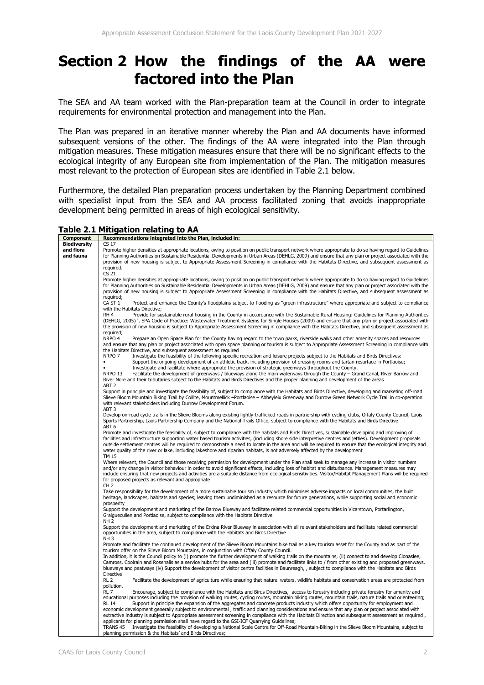### **Section 2 How the findings of the AA were factored into the Plan**

The SEA and AA team worked with the Plan-preparation team at the Council in order to integrate requirements for environmental protection and management into the Plan.

The Plan was prepared in an iterative manner whereby the Plan and AA documents have informed subsequent versions of the other. The findings of the AA were integrated into the Plan through mitigation measures. These mitigation measures ensure that there will be no significant effects to the ecological integrity of any European site from implementation of the Plan. The mitigation measures most relevant to the protection of European sites are identified in Table 2.1 below.

Furthermore, the detailed Plan preparation process undertaken by the Planning Department combined with specialist input from the SEA and AA process facilitated zoning that avoids inappropriate development being permitted in areas of high ecological sensitivity.

#### **Table 2.1 Mitigation relating to AA**

| Component           | Recommendations integrated into the Plan, included in:                                                                                                                                                                                                                                                   |  |  |
|---------------------|----------------------------------------------------------------------------------------------------------------------------------------------------------------------------------------------------------------------------------------------------------------------------------------------------------|--|--|
| <b>Biodiversity</b> | CS 17                                                                                                                                                                                                                                                                                                    |  |  |
| and flora           | Promote higher densities at appropriate locations, owing to position on public transport network where appropriate to do so having regard to Guidelines                                                                                                                                                  |  |  |
| and fauna           | for Planning Authorities on Sustainable Residential Developments in Urban Areas (DEHLG, 2009) and ensure that any plan or project associated with the<br>provision of new housing is subject to Appropriate Assessment Screening in compliance with the Habitats Directive, and subsequent assessment as |  |  |
|                     |                                                                                                                                                                                                                                                                                                          |  |  |
|                     |                                                                                                                                                                                                                                                                                                          |  |  |
|                     | required.                                                                                                                                                                                                                                                                                                |  |  |
|                     | CS 21                                                                                                                                                                                                                                                                                                    |  |  |
|                     | Promote higher densities at appropriate locations, owing to position on public transport network where appropriate to do so having regard to Guidelines                                                                                                                                                  |  |  |
|                     | for Planning Authorities on Sustainable Residential Developments in Urban Areas (DEHLG, 2009) and ensure that any plan or project associated with the                                                                                                                                                    |  |  |
|                     | provision of new housing is subject to Appropriate Assessment Screening in compliance with the Habitats Directive, and subsequent assessment as                                                                                                                                                          |  |  |
|                     | required:                                                                                                                                                                                                                                                                                                |  |  |
|                     | CA ST 1<br>Protect and enhance the County's floodplains subject to flooding as "green infrastructure" where appropriate and subject to compliance                                                                                                                                                        |  |  |
|                     | with the Habitats Directive;                                                                                                                                                                                                                                                                             |  |  |
|                     | RH <sub>4</sub>                                                                                                                                                                                                                                                                                          |  |  |
|                     | Provide for sustainable rural housing in the County in accordance with the Sustainable Rural Housing: Guidelines for Planning Authorities                                                                                                                                                                |  |  |
|                     | (DEHLG, 2005)', EPA Code of Practice: Wastewater Treatment Systems for Single Houses (2009) and ensure that any plan or project associated with                                                                                                                                                          |  |  |
|                     | the provision of new housing is subject to Appropriate Assessment Screening in compliance with the Habitats Directive, and subsequent assessment as                                                                                                                                                      |  |  |
|                     | required:                                                                                                                                                                                                                                                                                                |  |  |
|                     | NRPO 4<br>Prepare an Open Space Plan for the County having regard to the town parks, riverside walks and other amenity spaces and resources                                                                                                                                                              |  |  |
|                     | and ensure that any plan or project associated with open space planning or tourism is subject to Appropriate Assessment Screening in compliance with                                                                                                                                                     |  |  |
|                     | the Habitats Directive, and subsequent assessment as required                                                                                                                                                                                                                                            |  |  |
|                     | NRPO <sub>7</sub><br>Investigate the feasibility of the following specific recreation and leisure projects subject to the Habitats and Birds Directives:                                                                                                                                                 |  |  |
|                     | Support the ongoing development of an athletic track, including provision of dressing rooms and tartan resurface in Portlaoise;<br>$\bullet$                                                                                                                                                             |  |  |
|                     | $\bullet$                                                                                                                                                                                                                                                                                                |  |  |
|                     | Investigate and facilitate where appropriate the provision of strategic greenways throughout the County.                                                                                                                                                                                                 |  |  |
|                     | NRPO <sub>13</sub><br>Facilitate the development of greenways / blueways along the main waterways through the County - Grand Canal, River Barrow and                                                                                                                                                     |  |  |
|                     | River Nore and their tributaries subject to the Habitats and Birds Directives and the proper planning and development of the areas                                                                                                                                                                       |  |  |
|                     | ABT <sub>2</sub>                                                                                                                                                                                                                                                                                         |  |  |
|                     | Support in principle and investigate the feasibility of, subject to compliance with the Habitats and Birds Directive, developing and marketing off-road                                                                                                                                                  |  |  |
|                     | Slieve Bloom Mountain Biking Trail by Coillte, Mountmellick -- Portlaoise - Abbeyleix Greenway and Durrow Green Network Cycle Trail in co-operation                                                                                                                                                      |  |  |
|                     | with relevant stakeholders including Durrow Development Forum.                                                                                                                                                                                                                                           |  |  |
|                     | ABT <sub>3</sub>                                                                                                                                                                                                                                                                                         |  |  |
|                     | Develop on-road cycle trails in the Slieve Blooms along existing lightly-trafficked roads in partnership with cycling clubs, Offaly County Council, Laois                                                                                                                                                |  |  |
|                     |                                                                                                                                                                                                                                                                                                          |  |  |
|                     | Sports Partnership, Laois Partnership Company and the National Trails Office, subject to compliance with the Habitats and Birds Directive                                                                                                                                                                |  |  |
|                     | ABT <sub>6</sub>                                                                                                                                                                                                                                                                                         |  |  |
|                     | Promote and investigate the feasibility of, subject to compliance with the habitats and Birds Directives, sustainable developing and improving of                                                                                                                                                        |  |  |
|                     | facilities and infrastructure supporting water based tourism activities, (including shore side interpretive centres and jetties). Development proposals                                                                                                                                                  |  |  |
|                     | outside settlement centres will be required to demonstrate a need to locate in the area and will be required to ensure that the ecological integrity and                                                                                                                                                 |  |  |
|                     | water quality of the river or lake, including lakeshore and riparian habitats, is not adversely affected by the development                                                                                                                                                                              |  |  |
|                     | <b>TM 15</b>                                                                                                                                                                                                                                                                                             |  |  |
|                     | Where relevant, the Council and those receiving permission for development under the Plan shall seek to manage any increase in visitor numbers                                                                                                                                                           |  |  |
|                     | and/or any change in visitor behaviour in order to avoid significant effects, including loss of habitat and disturbance. Management measures may                                                                                                                                                         |  |  |
|                     |                                                                                                                                                                                                                                                                                                          |  |  |
|                     | include ensuring that new projects and activities are a suitable distance from ecological sensitivities. Visitor/Habitat Management Plans will be required                                                                                                                                               |  |  |
|                     | for proposed projects as relevant and appropriate                                                                                                                                                                                                                                                        |  |  |
|                     | CH <sub>2</sub>                                                                                                                                                                                                                                                                                          |  |  |
|                     | Take responsibility for the development of a more sustainable tourism industry which minimises adverse impacts on local communities, the built                                                                                                                                                           |  |  |
|                     | heritage, landscapes, habitats and species; leaving them undiminished as a resource for future generations, while supporting social and economic                                                                                                                                                         |  |  |
|                     | prosperity                                                                                                                                                                                                                                                                                               |  |  |
|                     | Support the development and marketing of the Barrow Blueway and facilitate related commercial opportunities in Vicarstown, Portarlington,                                                                                                                                                                |  |  |
|                     | Graiguecullen and Portlaoise, subject to compliance with the Habitats Directive                                                                                                                                                                                                                          |  |  |
|                     | <b>NH 2</b>                                                                                                                                                                                                                                                                                              |  |  |
|                     | Support the development and marketing of the Erkina River Blueway in association with all relevant stakeholders and facilitate related commercial                                                                                                                                                        |  |  |
|                     | opportunities in the area, subject to compliance with the Habitats and Birds Directive                                                                                                                                                                                                                   |  |  |
|                     | NH <sub>3</sub>                                                                                                                                                                                                                                                                                          |  |  |
|                     | Promote and facilitate the continued development of the Slieve Bloom Mountains bike trail as a key tourism asset for the County and as part of the                                                                                                                                                       |  |  |
|                     |                                                                                                                                                                                                                                                                                                          |  |  |
|                     | tourism offer on the Slieve Bloom Mountains, in conjunction with Offaly County Council.                                                                                                                                                                                                                  |  |  |
|                     | In addition, it is the Council policy to (i) promote the further development of walking trails on the mountains, (ii) connect to and develop Clonaslee,                                                                                                                                                  |  |  |
|                     | Camross, Coolrain and Rosenalis as a service hubs for the area and (iii) promote and facilitate links to / from other existing and proposed greenways,                                                                                                                                                   |  |  |
|                     | blueways and peatways (iv) Support the development of visitor centre facilities in Baunreagh, , subject to compliance with the Habitats and Birds                                                                                                                                                        |  |  |
|                     | <b>Directive</b>                                                                                                                                                                                                                                                                                         |  |  |
|                     | RL <sub>2</sub><br>Facilitate the development of agriculture while ensuring that natural waters, wildlife habitats and conservation areas are protected from                                                                                                                                             |  |  |
|                     | pollution.                                                                                                                                                                                                                                                                                               |  |  |
|                     | Encourage, subject to compliance with the Habitats and Birds Directives, access to forestry including private forestry for amenity and<br>RL <sub>7</sub>                                                                                                                                                |  |  |
|                     | educational purposes including the provision of walking routes, cycling routes, mountain biking routes, mountain trails, nature trails and orienteering;                                                                                                                                                 |  |  |
|                     | <b>RL 14</b><br>Support in principle the expansion of the aggregates and concrete products industry which offers opportunity for employment and                                                                                                                                                          |  |  |
|                     | economic development generally subject to environmental, traffic and planning considerations and ensure that any plan or project associated with                                                                                                                                                         |  |  |
|                     |                                                                                                                                                                                                                                                                                                          |  |  |
|                     | extractive industry is subject to Appropriate assessment screening in compliance with the Habitats Direction and subsequent assessment as required,                                                                                                                                                      |  |  |
|                     | applicants for planning permission shall have regard to the GSI-ICF Quarrying Guidelines;                                                                                                                                                                                                                |  |  |
|                     | Investigate the feasibility of developing a National Scale Centre for Off-Road Mountain-Biking in the Slieve Bloom Mountains, subject to<br>TRANS <sub>45</sub>                                                                                                                                          |  |  |
|                     | planning permission & the Habitats' and Birds Directives;                                                                                                                                                                                                                                                |  |  |
|                     |                                                                                                                                                                                                                                                                                                          |  |  |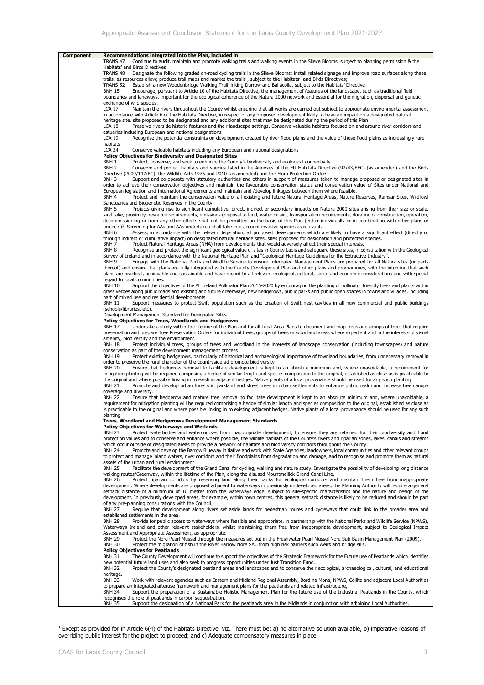| Component | Recommendations integrated into the Plan, included in:                                                                                                                                                                                                                                                              |
|-----------|---------------------------------------------------------------------------------------------------------------------------------------------------------------------------------------------------------------------------------------------------------------------------------------------------------------------|
|           | Continue to audit, maintain and promote walking trails and walking events in the Slieve Blooms, subject to planning permission & the<br>TRANS 47                                                                                                                                                                    |
|           | Habitats' and Birds Directives                                                                                                                                                                                                                                                                                      |
|           | TRANS <sub>48</sub><br>Designate the following graded on-road cycling trails in the Slieve Blooms; install related signage and improve road surfaces along these<br>trails, as resources allow; produce trail maps and market the trails, subject to the Habitats' and Birds Directives;                            |
|           | Establish a new Woodenbridge Walking Trail linking Durrow and Ballacolla, subject to the Habitats' Directive<br>TRANS 52                                                                                                                                                                                            |
|           | Encourage, pursuant to Article 10 of the Habitats Directive, the management of features of the landscape, such as traditional field<br><b>BNH 15</b>                                                                                                                                                                |
|           | boundaries and laneways, important for the ecological coherence of the Natura 2000 network and essential for the migration, dispersal and genetic                                                                                                                                                                   |
|           | exchange of wild species.<br>LCA 17<br>Maintain the rivers throughout the County whilst ensuring that all works are carried out subject to appropriate environmental assessment                                                                                                                                     |
|           | in accordance with Article 6 of the Habitats Directive, in respect of any proposed development likely to have an impact on a designated natural                                                                                                                                                                     |
|           | heritage site, site proposed to be designated and any additional sites that may be designated during the period of this Plan                                                                                                                                                                                        |
|           | Preserve riverside historic features and their landscape settings. Conserve valuable habitats focused on and around river corridors and<br>LCA 18                                                                                                                                                                   |
|           | estuaries including European and national designations<br><b>LCA 19</b><br>Recognise the potential constraints on development created by river flood plains and the value of these flood plains as increasingly rare                                                                                                |
|           | habitats                                                                                                                                                                                                                                                                                                            |
|           | <b>LCA 24</b><br>Conserve valuable habitats including any European and national designations                                                                                                                                                                                                                        |
|           | Policy Objectives for Biodiversity and Designated Sites<br>BNH 1                                                                                                                                                                                                                                                    |
|           | Protect, conserve, and seek to enhance the County's biodiversity and ecological connectivity<br>BNH <sub>2</sub><br>Conserve and protect habitats and species listed in the Annexes of the EU Habitats Directive (92/43/EEC) (as amended) and the Birds                                                             |
|           | Directive (2009/147/EC), the Wildlife Acts 1976 and 2010 (as amended) and the Flora Protection Orders.                                                                                                                                                                                                              |
|           | BNH 3<br>Support and co-operate with statutory authorities and others in support of measures taken to manage proposed or designated sites in                                                                                                                                                                        |
|           | order to achieve their conservation objectives and maintain the favourable conservation status and conservation value of Sites under National and                                                                                                                                                                   |
|           | European legislation and International Agreements and maintain and /develop linkages between them where feasible.<br>BNH 4<br>Protect and maintain the conservation value of all existing and future Natural Heritage Areas, Nature Reserves, Ramsar Sites, Wildfowl                                                |
|           | Sanctuaries and Biogenetic Reserves in the County.                                                                                                                                                                                                                                                                  |
|           | BNH <sub>5</sub><br>Projects giving rise to significant cumulative, direct, indirect or secondary impacts on Natura 2000 sites arising from their size or scale,                                                                                                                                                    |
|           | land take, proximity, resource requirements, emissions (disposal to land, water or air), transportation requirements, duration of construction, operation,<br>decommissioning or from any other effects shall not be permitted on the basis of this Plan (either individually or in combination with other plans or |
|           | projects) <sup>1</sup> . Screening for AAs and AAs undertaken shall take into account invasive species as relevant.                                                                                                                                                                                                 |
|           | BNH 6<br>Assess, in accordance with the relevant legislation, all proposed developments which are likely to have a significant effect (directly or                                                                                                                                                                  |
|           | through indirect or cumulative impact) on designated natural heritage sites, sites proposed for designation and protected species.                                                                                                                                                                                  |
|           | BNH 7<br>Protect Natural Heritage Areas (NHA) from developments that would adversely affect their special interests.<br>BNH 8                                                                                                                                                                                       |
|           | Recognise and protect the significant geological value of sites in County Laois and safeguard these sites, in consultation with the Geological<br>Survey of Ireland and in accordance with the National Heritage Plan and "Geological Heritage Guidelines for the Extractive Industry".                             |
|           | Engage with the National Parks and Wildlife Service to ensure Integrated Management Plans are prepared for all Natura sites (or parts<br>BNH 9                                                                                                                                                                      |
|           | thereof) and ensure that plans are fully integrated with the County Development Plan and other plans and programmes, with the intention that such                                                                                                                                                                   |
|           | plans are practical, achievable and sustainable and have regard to all relevant ecological, cultural, social and economic considerations and with special<br>regard to local communities.                                                                                                                           |
|           | <b>BNH 10</b><br>Support the objectives of the All Ireland Pollinator Plan 2015-2020 by encouraging the planting of pollinator friendly trees and plants within                                                                                                                                                     |
|           | grass verges along public roads and existing and future greenways, new hedgerows, public parks and public open spaces in towns and villages, including                                                                                                                                                              |
|           | part of mixed use and residential developments                                                                                                                                                                                                                                                                      |
|           | <b>BNH 11</b><br>Support measures to protect Swift population such as the creation of Swift nest cavities in all new commercial and public buildings<br>(schools/libraries, etc).                                                                                                                                   |
|           | Development Management Standard for Designated Sites                                                                                                                                                                                                                                                                |
|           | <b>Policy Objectives for Trees, Woodlands and Hedgerows</b>                                                                                                                                                                                                                                                         |
|           | Undertake a study within the lifetime of the Plan and for all Local Area Plans to document and map trees and groups of trees that require<br><b>BNH 17</b>                                                                                                                                                          |
|           | preservation and prepare Tree Preservation Orders for individual trees, groups of trees or woodland areas where expedient and in the interests of visual<br>amenity, biodiversity and the environment.                                                                                                              |
|           | <b>BNH 18</b><br>Protect individual trees, groups of trees and woodland in the interests of landscape conservation (including townscapes) and nature                                                                                                                                                                |
|           | conservation as part of the development management process                                                                                                                                                                                                                                                          |
|           | <b>BNH 19</b><br>Protect existing hedgerows, particularly of historical and archaeological importance of townland boundaries, from unnecessary removal in                                                                                                                                                           |
|           | order to preserve the rural character of the countryside ad promote biodiversity<br><b>BNH 20</b><br>Ensure that hedgerow removal to facilitate development is kept to an absolute minimum and, where unavoidable, a requirement for                                                                                |
|           | mitigation planting will be required comprising a hedge of similar length and species composition to the original, established as close as is practicable to                                                                                                                                                        |
|           | the original and where possible linking in to existing adjacent hedges. Native plants of a local provenance should be used for any such planting                                                                                                                                                                    |
|           | Promote and develop urban forests in parkland and street trees in urban settlements to enhance public realm and increase tree canopy<br><b>BNH 21</b><br>coverage and diversity.                                                                                                                                    |
|           | <b>BNH 22</b><br>Ensure that hedgerow and mature tree removal to facilitate development is kept to an absolute minimum and, where unavoidable, a                                                                                                                                                                    |
|           | requirement for mitigation planting will be required comprising a hedge of similar length and species composition to the original, established as close as                                                                                                                                                          |
|           | is practicable to the original and where possible linking in to existing adjacent hedges. Native plants of a local provenance should be used for any such                                                                                                                                                           |
|           | planting<br>Trees, Woodland and Hedgerows Development Management Standards                                                                                                                                                                                                                                          |
|           | <b>Policy Objectives for Waterways and Wetlands</b>                                                                                                                                                                                                                                                                 |
|           | Protect waterbodies and watercourses from inappropriate development, to ensure they are retained for their biodiversity and flood<br><b>BNH 23</b>                                                                                                                                                                  |
|           | protection values and to conserve and enhance where possible, the wildlife habitats of the County's rivers and riparian zones, lakes, canals and streams<br>which occur outside of designated areas to provide a network of habitats and biodiversity corridors throughout the County.                              |
|           | <b>BNH 24</b><br>Promote and develop the Barrow Blueway initiative and work with State Agencies, landowners, local communities and other relevant groups                                                                                                                                                            |
|           | to protect and manage inland waters, river corridors and their floodplains from degradation and damage, and to recognise and promote them as natural                                                                                                                                                                |
|           | assets of the urban and rural environment<br>Facilitate the development of the Grand Canal for cycling, walking and nature study. Investigate the possibility of developing long distance<br><b>BNH 25</b>                                                                                                          |
|           | walking routes/Greenway, within the lifetime of the Plan, along the disused Mountmellick Grand Canal Line.                                                                                                                                                                                                          |
|           | Protect riparian corridors by reserving land along their banks for ecological corridors and maintain them free from inappropriate<br><b>BNH 26</b>                                                                                                                                                                  |
|           | development. Where developments are proposed adjacent to waterways in previously undeveloped areas, the Planning Authority will require a general                                                                                                                                                                   |
|           | setback distance of a minimum of 10 metres from the waterways edge, subject to site-specific characteristics and the nature and design of the<br>development. In previously developed areas, for example, within town centres, this general setback distance is likely to be reduced and should be part             |
|           | of any pre-planning consultations with the Council.                                                                                                                                                                                                                                                                 |
|           | <b>BNH 27</b><br>Require that development along rivers set aside lands for pedestrian routes and cycleways that could link to the broader area and                                                                                                                                                                  |
|           | established settlements in the area.<br><b>BNH 28</b>                                                                                                                                                                                                                                                               |
|           | Provide for public access to waterways where feasible and appropriate, in partnership with the National Parks and Wildlife Service (NPWS),<br>Waterways Ireland and other relevant stakeholders, whilst maintaining them free from inappropriate development, subject to Ecological Impact                          |
|           | Assessment and Appropriate Assessment, as appropriate.                                                                                                                                                                                                                                                              |
|           | <b>BNH 29</b><br>Protect the Nore Pearl Mussel through the measures set out in the Freshwater Pearl Mussel Nore Sub-Basin Management Plan (2009).                                                                                                                                                                   |
|           | <b>BNH 30</b><br>Protect the migration of fish in the River Barrow Nore SAC from high risk barriers such weirs and bridge sills.<br><b>Policy Objectives for Peatlands</b>                                                                                                                                          |
|           | <b>BNH 31</b><br>The County Development will continue to support the objectives of the Strategic Framework for the Future use of Peatlands which identifies                                                                                                                                                         |
|           | new potential future land uses and also seek to progress opportunities under Just Transition Fund.                                                                                                                                                                                                                  |
|           | Protect the County's designated peatland areas and landscapes and to conserve their ecological, archaeological, cultural, and educational<br><b>BNH 32</b>                                                                                                                                                          |
|           | heritage.<br>Work with relevant agencies such as Eastern and Midland Regional Assembly, Bord na Mona, NPWS, Coillte and adjacent Local Authorities<br><b>BNH 33</b>                                                                                                                                                 |
|           | to prepare an integrated afteruse framework and management plans for the peatlands and related infrastructure,                                                                                                                                                                                                      |
|           | <b>BNH 34</b><br>Support the preparation of a Sustainable Holistic Management Plan for the future use of the Industrial Peatlands in the County, which                                                                                                                                                              |
|           | recognises the role of peatlands in carbon sequestration.<br><b>BNH 35</b><br>Support the designation of a National Park for the peatlands area in the Midlands in conjunction with adjoining Local Authorities.                                                                                                    |

<sup>&</sup>lt;sup>1</sup> Except as provided for in Article 6(4) of the Habitats Directive, viz. There must be: a) no alternative solution available, b) imperative reasons of overriding public interest for the project to proceed; and c) Adequate compensatory measures in place.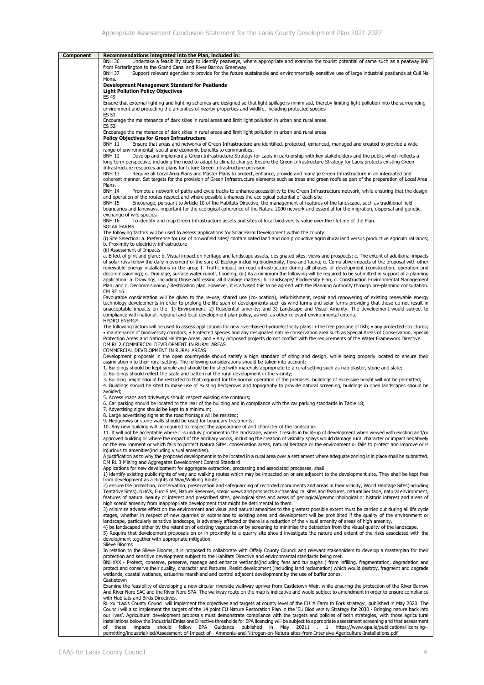| <b>Component</b> | Recommendations integrated into the Plan, included in:                                                                                                                                                                                                                                                                 |
|------------------|------------------------------------------------------------------------------------------------------------------------------------------------------------------------------------------------------------------------------------------------------------------------------------------------------------------------|
|                  | Undertake a feasibility study to identify peatways, where appropriate and examine the tourist potential of same such as a peatway link<br><b>BNH 36</b>                                                                                                                                                                |
|                  | from Portarlington to the Grand Canal and River Barrow Greenway.                                                                                                                                                                                                                                                       |
|                  | <b>BNH 37</b><br>Support relevant agencies to provide for the future sustainable and environmentally sensitive use of large industrial peatlands at Cuil Na                                                                                                                                                            |
|                  | Mona.                                                                                                                                                                                                                                                                                                                  |
|                  | <b>Development Management Standard for Peatlands</b>                                                                                                                                                                                                                                                                   |
|                  | <b>Light Pollution Policy Objectives</b>                                                                                                                                                                                                                                                                               |
|                  | <b>ES 49</b>                                                                                                                                                                                                                                                                                                           |
|                  | Ensure that external lighting and lighting schemes are designed so that light spillage is minimised, thereby limiting light pollution into the surrounding                                                                                                                                                             |
|                  | environment and protecting the amenities of nearby properties and wildlife, including protected species                                                                                                                                                                                                                |
|                  | ES 51<br>Encourage the maintenance of dark skies in rural areas and limit light pollution in urban and rural areas                                                                                                                                                                                                     |
|                  | <b>ES 52</b>                                                                                                                                                                                                                                                                                                           |
|                  | Encourage the maintenance of dark skies in rural areas and limit light pollution in urban and rural areas                                                                                                                                                                                                              |
|                  | <b>Policy Objectives for Green Infrastructure</b>                                                                                                                                                                                                                                                                      |
|                  | <b>BNH 11</b><br>Ensure that areas and networks of Green Infrastructure are identified, protected, enhanced, managed and created to provide a wide                                                                                                                                                                     |
|                  | range of environmental, social and economic benefits to communities.                                                                                                                                                                                                                                                   |
|                  | Develop and implement a Green Infrastructure Strategy for Laois in partnership with key stakeholders and the public which reflects a<br><b>BNH 12</b>                                                                                                                                                                  |
|                  | long-term perspective, including the need to adapt to climate change. Ensure the Green Infrastructure Strategy for Laois protects existing Green                                                                                                                                                                       |
|                  | Infrastructure resources and plans for future Green Infrastructure provision<br>Require all Local Area Plans and Master Plans to protect, enhance, provide and manage Green Infrastructure in an integrated and<br><b>BNH 13</b>                                                                                       |
|                  | coherent manner. Set targets for the provision of Green Infrastructure elements such as trees and green roofs as part of the preparation of Local Area                                                                                                                                                                 |
|                  | Plans.                                                                                                                                                                                                                                                                                                                 |
|                  | <b>BNH 14</b><br>Promote a network of paths and cycle tracks to enhance accessibility to the Green Infrastructure network, while ensuring that the design                                                                                                                                                              |
|                  | and operation of the routes respect and where possible enhances the ecological potential of each site                                                                                                                                                                                                                  |
|                  | <b>BNH 15</b><br>Encourage, pursuant to Article 10 of the Habitats Directive, the management of features of the landscape, such as traditional field                                                                                                                                                                   |
|                  | boundaries and laneways, important for the ecological coherence of the Natura 2000 network and essential for the migration, dispersal and genetic                                                                                                                                                                      |
|                  | exchange of wild species.                                                                                                                                                                                                                                                                                              |
|                  | <b>BNH 16</b><br>To identify and map Green Infrastructure assets and sites of local biodiversity value over the lifetime of the Plan.<br><b>SOLAR FARMS</b>                                                                                                                                                            |
|                  | The following factors will be used to assess applications for Solar Farm Development within the county:                                                                                                                                                                                                                |
|                  | (i) Site Selection: a. Preference for use of brownfield sites/ contaminated land and non productive agricultural land versus productive agricultural lands;                                                                                                                                                            |
|                  | b. Proximity to electricity infrastructure                                                                                                                                                                                                                                                                             |
|                  | (ii) Assessment of Impacts                                                                                                                                                                                                                                                                                             |
|                  | a. Effect of glint and glare; b. Visual impact on heritage and landscape assets, designated sites, views and prospects; c. The extent of additional impacts                                                                                                                                                            |
|                  | of solar rays follow the daily movement of the sun; d. Ecology including biodiversity, flora and fauna; e. Cumulative impacts of the proposal with other                                                                                                                                                               |
|                  | renewable energy installations in the area; f. Traffic impact on road infrastructure during all phases of development (construction, operation and                                                                                                                                                                     |
|                  | decommissioning); g. Drainage, surface water runoff, flooding; (iii) As a minimum the following will be reguired to be submitted in support of a planning                                                                                                                                                              |
|                  | application: a. Drawings, including those addressing all drainage matters; b. Landscape/ Biodiversity Plan; c. Construction Environmental Management                                                                                                                                                                   |
|                  | Plan; and d. Decommisioning / Restoration plan. However, it is advised this to be agreed with the Planning Authority through pre-planning consultation.<br><b>CM RE 16</b>                                                                                                                                             |
|                  | Favourable consideration will be given to the re-use, shared use (co-location), refurbishment, repair and repowering of existing renewable energy                                                                                                                                                                      |
|                  | technology developments in order to prolong the life span of developments such as wind farms and solar farms providing that these do not result in                                                                                                                                                                     |
|                  | unacceptable impacts on the: 1) Environment; 2) Residential amenity; and 3) Landscape and Visual Amenity. The development would subject to                                                                                                                                                                             |
|                  | compliance with national, regional and local development plan policy, as well as other relevant environmental criteria.                                                                                                                                                                                                |
|                  | <b>HYDRO ENERGY</b>                                                                                                                                                                                                                                                                                                    |
|                  | The following factors will be used to assess applications for new river-based hydroelectricity plans: • the free passage of fish; • any protected structures;                                                                                                                                                          |
|                  | • maintenance of biodiversity corridors; • Protected species and any designated nature conservation area such as Special Areas of Conservation, Special                                                                                                                                                                |
|                  | Protection Areas and National Heritage Areas; and • Any proposed projects do not conflict with the requirements of the Water Framework Directive.                                                                                                                                                                      |
|                  | DM RL 2 COMMERCIAL DEVELOPMENT IN RURAL AREAS<br>COMMERCIAL DEVELOPMENT IN RURAL AREAS                                                                                                                                                                                                                                 |
|                  | Development proposals in the open countryside should satisfy a high standard of siting and design, while being properly located to ensure their                                                                                                                                                                        |
|                  | assimilation into their rural setting. The following considerations should be taken into account:                                                                                                                                                                                                                      |
|                  | 1. Buildings should be kept simple and should be finished with materials appropriate to a rural setting such as nap plaster, stone and slate;                                                                                                                                                                          |
|                  | 2. Buildings should reflect the scale and pattern of the rural development in the vicinity;                                                                                                                                                                                                                            |
|                  | 3. Building height should be restricted to that required for the normal operation of the premises, buildings of excessive height will not be permitted;                                                                                                                                                                |
|                  | 4. Buildings should be sited to make use of existing hedgerows and topography to provide natural screening, buildings in open landscapes should be                                                                                                                                                                     |
|                  | avoided;                                                                                                                                                                                                                                                                                                               |
|                  | 5. Access roads and driveways should respect existing site contours;<br>6. Car parking should be located to the rear of the building and in compliance with the car parking standards in Table 18;                                                                                                                     |
|                  | 7. Advertising signs should be kept to a minimum;                                                                                                                                                                                                                                                                      |
|                  | 8. Large advertising signs at the road frontage will be resisted;                                                                                                                                                                                                                                                      |
|                  | 9. Hedgerows or stone walls should be used for boundary treatments;                                                                                                                                                                                                                                                    |
|                  | 10. Any new building will be required to respect the appearance of and character of the landscape.                                                                                                                                                                                                                     |
|                  | 11. It will not be acceptable where it is unduly prominent in the landscape, where it results in build-up of development when viewed with existing and/or                                                                                                                                                              |
|                  | approved building or where the impact of the ancillary works, including the creation of visibility splays would damage rural character or impact negatively                                                                                                                                                            |
|                  | on the environment or which fails to protect Natura Sites, conservation areas, natural heritage or the environment or fails to protect and improve or is                                                                                                                                                               |
|                  | injurious to amenities(including visual amenities).<br>A justification as to why the proposed development is to be located in a rural area over a settlement where adequate zoning is in place shall be submitted.                                                                                                     |
|                  | DM RL 3 Mining and Aggregates Development Control Standard                                                                                                                                                                                                                                                             |
|                  | Applications for new development for aggregate extraction, processing and associated processes, shall                                                                                                                                                                                                                  |
|                  | 1) identify existing public rights of way and walking routes which may be impacted on or are adjacent to the development site. They shall be kept free                                                                                                                                                                 |
|                  | from development as a Rights of Way/Walking Route                                                                                                                                                                                                                                                                      |
|                  | 2) ensure the protection, conservation, preservation and safeguarding of recorded monuments and areas in their vicinity, World Heritage Sites(including                                                                                                                                                                |
|                  | Tentative Sites), NHA's, Euro Sites, Nature Reserves, scenic views and prospects archaeological sites and features, natural heritage, natural environment,<br>features of natural beauty or interest and prescribed sites, geological sites and areas of geological/geomorphological or historic interest and areas of |
|                  | high scenic amenity from inappropriate development that might be detrimental to them.                                                                                                                                                                                                                                  |
|                  | 3) minimise adverse effect on the environment and visual and natural amenities to the greatest possible extent must be carried out during all life cycle                                                                                                                                                               |
|                  | stages, whether in respect of new quarries or extensions to existing ones and development will be prohibited if the quality of the environment or                                                                                                                                                                      |
|                  | landscape, particularly sensitive landscape, is adversely affected or there is a reduction of the visual amenity of areas of high amenity.                                                                                                                                                                             |
|                  | 4) be landscaped either by the retention of existing vegetation or by screening to minimise the detraction from the visual quality of the landscape.                                                                                                                                                                   |
|                  | 5) Require that development proposals on or in proximity to a quarry site should investigate the nature and extent of the risks associated with the                                                                                                                                                                    |
|                  | development together with appropriate mitigation.<br>Slieve Blooms                                                                                                                                                                                                                                                     |
|                  | In relation to the Slieve Blooms, it is proposed to collaborate with Offaly County Council and relevant stakeholders to develop a masterplan for their                                                                                                                                                                 |
|                  | protection and sensitive development subject to the Habitats Directive and environmental standards being met.                                                                                                                                                                                                          |
|                  | BNHXXX - Protect, conserve, preserve, manage and enhance wetlands(including fens and turloughs) from infilling, fragmentation, degradation and                                                                                                                                                                         |
|                  | protect and conserve their quality, character and features. Resist development (including land reclamation) which would destroy, fragment and degrade                                                                                                                                                                  |
|                  | wetlands, coastal wetlands, estuarine marshland and control adjacent development by the use of buffer zones.                                                                                                                                                                                                           |
|                  | Castletown                                                                                                                                                                                                                                                                                                             |
|                  | Examine the feasibility of developing a new circular riverside walkway upriver from Castletown Weir, while ensuring the protection of the River Barrow<br>And River Nore SAC and the River Nore SPA. The walkway route on the map is indicative and would subject to amendment in order to ensure compliance           |
|                  | with Habitats and Birds Directives.                                                                                                                                                                                                                                                                                    |
|                  | RL xx "Laois County Council will implement the objectives and targets at county level of the EU 'A Farm to Fork strategy', published in May 2020. The                                                                                                                                                                  |
|                  | Council will also implement the targets of the 14 point EU Nature Restoration Plan in the 'EU Biodiversity Strategy for 2030 - Bringing nature back into                                                                                                                                                               |
|                  | our lives'. Agricultural development proposals must demonstrate compliance with the targets and policies of both strategies, with those agricultural                                                                                                                                                                   |
|                  | installations below the Industrial Emissions Directive thresholds for EPA licencing will be subject to appropriate assessment screening and that assessment                                                                                                                                                            |
|                  | these impacts should follow EPA Guidance published in May 20211 . 1 https://www.epa.ie/publications/licensing--<br>of                                                                                                                                                                                                  |
|                  | permitting/industrial/ied/Assessment-of-Impact-of-- Ammonia-and-Nitrogen-on-Natura-sites-from-Intensive-Agericulture-Installations.pdf                                                                                                                                                                                 |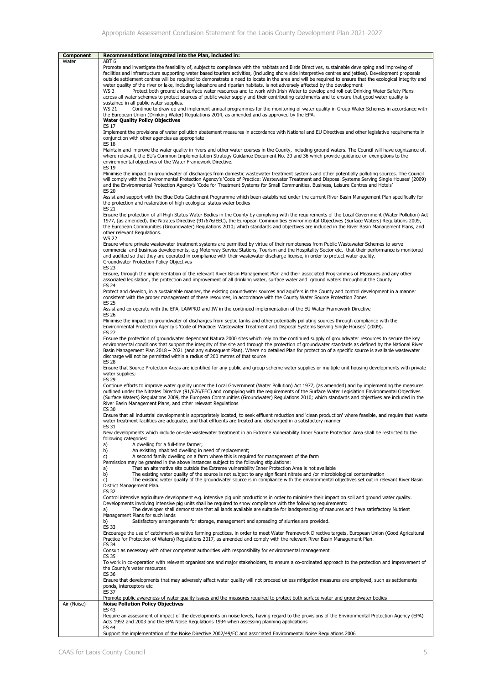| Component   | Recommendations integrated into the Plan, included in:                                                                                                                                                                                                                                                                                                                                                                                                                                                                                                                                                                      |
|-------------|-----------------------------------------------------------------------------------------------------------------------------------------------------------------------------------------------------------------------------------------------------------------------------------------------------------------------------------------------------------------------------------------------------------------------------------------------------------------------------------------------------------------------------------------------------------------------------------------------------------------------------|
| Water       | ABT <sub>6</sub><br>Promote and investigate the feasibility of, subject to compliance with the habitats and Birds Directives, sustainable developing and improving of<br>facilities and infrastructure supporting water based tourism activities, (including shore side interpretive centres and jetties). Development proposals<br>outside settlement centres will be required to demonstrate a need to locate in the area and will be required to ensure that the ecological integrity and<br>water quality of the river or lake, including lakeshore and riparian habitats, is not adversely affected by the development |
|             | WS 3<br>Protect both ground and surface water resources and to work with Irish Water to develop and roll-out Drinking Water Safety Plans<br>across all water schemes to protect sources of public water supply and their contributing catchments and to ensure that good water quality is<br>sustained in all public water supplies.                                                                                                                                                                                                                                                                                        |
|             | <b>WS 21</b><br>Continue to draw up and implement annual programmes for the monitoring of water quality in Group Water Schemes in accordance with<br>the European Union (Drinking Water) Regulations 2014, as amended and as approved by the EPA.<br><b>Water Quality Policy Objectives</b><br><b>ES 17</b>                                                                                                                                                                                                                                                                                                                 |
|             | Implement the provisions of water pollution abatement measures in accordance with National and EU Directives and other legislative requirements in<br>conjunction with other agencies as appropriate<br><b>ES 18</b>                                                                                                                                                                                                                                                                                                                                                                                                        |
|             | Maintain and improve the water quality in rivers and other water courses in the County, including ground waters. The Council will have cognizance of,<br>where relevant, the EU's Common Implementation Strategy Guidance Document No. 20 and 36 which provide guidance on exemptions to the<br>environmental objectives of the Water Framework Directive.<br><b>ES 19</b>                                                                                                                                                                                                                                                  |
|             | Minimise the impact on groundwater of discharges from domestic wastewater treatment systems and other potentially polluting sources. The Council<br>will comply with the Environmental Protection Agency's 'Code of Practice: Wastewater Treatment and Disposal Systems Serving Single Houses' (2009)<br>and the Environmental Protection Agency's 'Code for Treatment Systems for Small Communities, Business, Leisure Centres and Hotels'<br><b>ES 20</b>                                                                                                                                                                 |
|             | Assist and support with the Blue Dots Catchment Programme which been established under the current River Basin Management Plan specifically for<br>the protection and restoration of high ecological status water bodies<br>ES 21                                                                                                                                                                                                                                                                                                                                                                                           |
|             | Ensure the protection of all High Status Water Bodies in the County by complying with the requirements of the Local Government (Water Pollution) Act<br>1977, (as amended), the Nitrates Directive (91/676/EEC), the European Communities Environmental Objectives (Surface Waters) Regulations 2009,<br>the European Communities (Groundwater) Regulations 2010; which standards and objectives are included in the River Basin Management Plans, and<br>other relevant Regulations.                                                                                                                                       |
|             | <b>WS 22</b><br>Ensure where private wastewater treatment systems are permitted by virtue of their remoteness from Public Wastewater Schemes to serve<br>commercial and business developments, e.g Motorway Service Stations, Tourism and the Hospitality Sector etc, that their performance is monitored<br>and audited so that they are operated in compliance with their wastewater discharge license, in order to protect water quality.<br>Groundwater Protection Policy Objectives<br><b>ES 23</b>                                                                                                                    |
|             | Ensure, through the implementation of the relevant River Basin Management Plan and their associated Programmes of Measures and any other<br>associated legislation, the protection and improvement of all drinking water, surface water and ground waters throughout the County<br><b>ES 24</b>                                                                                                                                                                                                                                                                                                                             |
|             | Protect and develop, in a sustainable manner, the existing groundwater sources and aquifers in the County and control development in a manner<br>consistent with the proper management of these resources, in accordance with the County Water Source Protection Zones<br>ES 25                                                                                                                                                                                                                                                                                                                                             |
|             | Assist and co-operate with the EPA, LAWPRO and IW in the continued implementation of the EU Water Framework Directive<br><b>ES 26</b>                                                                                                                                                                                                                                                                                                                                                                                                                                                                                       |
|             | Minimise the impact on groundwater of discharges from septic tanks and other potentially polluting sources through compliance with the<br>Environmental Protection Agency's 'Code of Practice: Wastewater Treatment and Disposal Systems Serving Single Houses' (2009).<br><b>ES 27</b>                                                                                                                                                                                                                                                                                                                                     |
|             | Ensure the protection of groundwater dependant Natura 2000 sites which rely on the continued supply of groundwater resources to secure the key<br>environmental conditions that support the integrity of the site and through the protection of groundwater standards as defined by the National River<br>Basin Management Plan 2018 - 2021 (and any subsequent Plan). Where no detailed Plan for protection of a specific source is available wastewater<br>discharge will not be permitted within a radius of 200 metres of that source<br>ES 28                                                                          |
|             | Ensure that Source Protection Areas are identified for any public and group scheme water supplies or multiple unit housing developments with private<br>water supplies;<br><b>ES 29</b>                                                                                                                                                                                                                                                                                                                                                                                                                                     |
|             | Continue efforts to improve water quality under the Local Government (Water Pollution) Act 1977, (as amended) and by implementing the measures<br>outlined under the Nitrates Directive (91/676/EEC) and complying with the requirements of the Surface Water Legislation Environmental Objectives<br>(Surface Waters) Regulations 2009, the European Communities (Groundwater) Regulations 2010; which standards and objectives are included in the<br>River Basin Management Plans, and other relevant Regulations<br>ES 30                                                                                               |
|             | Ensure that all industrial development is appropriately located, to seek effluent reduction and 'clean production' where feasible, and require that waste<br>water treatment facilities are adequate, and that effluents are treated and discharged in a satisfactory manner<br>ES 31                                                                                                                                                                                                                                                                                                                                       |
|             | New developments which include on-site wastewater treatment in an Extreme Vulnerability Inner Source Protection Area shall be restricted to the<br>following categories:<br>A dwelling for a full-time farmer;<br>a)                                                                                                                                                                                                                                                                                                                                                                                                        |
|             | b)<br>An existing inhabited dwelling in need of replacement;<br>c)<br>A second family dwelling on a farm where this is required for management of the farm<br>Permission may be granted in the above instances subject to the following stipulations:                                                                                                                                                                                                                                                                                                                                                                       |
|             | a)<br>That an alternative site outside the Extreme vulnerability Inner Protection Area is not available<br>b)<br>The existing water quality of the source is not subject to any significant nitrate and /or microbiological contamination<br>c)<br>The existing water quality of the groundwater source is in compliance with the environmental objectives set out in relevant River Basin<br>District Management Plan.<br><b>ES 32</b>                                                                                                                                                                                     |
|             | Control intensive agriculture development e.g. intensive pig unit productions in order to minimise their impact on soil and ground water quality.<br>Developments involving intensive pig units shall be required to show compliance with the following requirements:<br>The developer shall demonstrate that all lands available are suitable for landspreading of manures and have satisfactory Nutrient<br>a)<br>Management Plans for such lands                                                                                                                                                                         |
|             | b)<br>Satisfactory arrangements for storage, management and spreading of slurries are provided.<br><b>ES 33</b>                                                                                                                                                                                                                                                                                                                                                                                                                                                                                                             |
|             | Encourage the use of catchment-sensitive farming practices, in order to meet Water Framework Directive targets, European Union (Good Agricultural<br>Practice for Protection of Waters) Regulations 2017, as amended and comply with the relevant River Basin Management Plan.<br>ES 34                                                                                                                                                                                                                                                                                                                                     |
|             | Consult as necessary with other competent authorities with responsibility for environmental management<br><b>ES 35</b><br>To work in co-operation with relevant organisations and major stakeholders, to ensure a co-ordinated approach to the protection and improvement of                                                                                                                                                                                                                                                                                                                                                |
|             | the County's water resources<br>ES 36<br>Ensure that developments that may adversely affect water quality will not proceed unless mitigation measures are employed, such as settlements                                                                                                                                                                                                                                                                                                                                                                                                                                     |
|             | ponds, interceptors etc<br><b>ES 37</b><br>Promote public awareness of water quality issues and the measures required to protect both surface water and groundwater bodies                                                                                                                                                                                                                                                                                                                                                                                                                                                  |
| Air (Noise) | <b>Noise Pollution Policy Objectives</b><br><b>ES 43</b><br>Require an assessment of impact of the developments on noise levels, having regard to the provisions of the Environmental Protection Agency (EPA)<br>Acts 1992 and 2003 and the EPA Noise Regulations 1994 when assessing planning applications                                                                                                                                                                                                                                                                                                                 |
|             | ES 44<br>Support the implementation of the Noise Directive 2002/49/EC and associated Environmental Noise Regulations 2006                                                                                                                                                                                                                                                                                                                                                                                                                                                                                                   |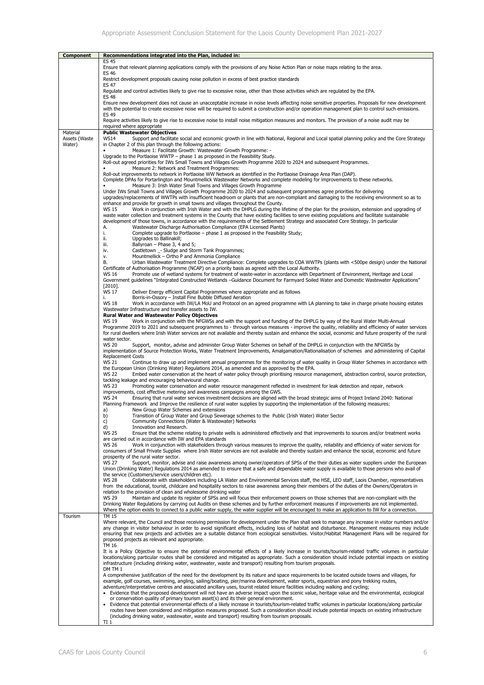| <b>Component</b>          | Recommendations integrated into the Plan, included in:                                                                                                                                                                                                                                                                                                                                                                         |
|---------------------------|--------------------------------------------------------------------------------------------------------------------------------------------------------------------------------------------------------------------------------------------------------------------------------------------------------------------------------------------------------------------------------------------------------------------------------|
|                           | <b>ES 45</b>                                                                                                                                                                                                                                                                                                                                                                                                                   |
|                           | Ensure that relevant planning applications comply with the provisions of any Noise Action Plan or noise maps relating to the area.<br><b>ES 46</b>                                                                                                                                                                                                                                                                             |
|                           | Restrict development proposals causing noise pollution in excess of best practice standards<br><b>ES 47</b>                                                                                                                                                                                                                                                                                                                    |
|                           | Regulate and control activities likely to give rise to excessive noise, other than those activities which are regulated by the EPA.<br><b>ES 48</b>                                                                                                                                                                                                                                                                            |
|                           | Ensure new development does not cause an unacceptable increase in noise levels affecting noise sensitive properties. Proposals for new development<br>with the potential to create excessive noise will be required to submit a construction and/or operation management plan to control such emissions.<br>ES 49                                                                                                              |
|                           | Require activities likely to give rise to excessive noise to install noise mitigation measures and monitors. The provision of a noise audit may be<br>required where appropriate                                                                                                                                                                                                                                               |
| Material<br>Assets (Waste | <b>Public Wastewater Objectives</b><br><b>WS14</b><br>Support and facilitate social and economic growth in line with National, Regional and Local spatial planning policy and the Core Strategy                                                                                                                                                                                                                                |
| Water)                    | in Chapter 2 of this plan through the following actions:<br>Measure 1: Facilitate Growth: Wastewater Growth Programme: -                                                                                                                                                                                                                                                                                                       |
|                           | Upgrade to the Portlaoise WWTP - phase 1 as proposed in the Feasibility Study.                                                                                                                                                                                                                                                                                                                                                 |
|                           | Roll-out agreed priorities for IWs Small Towns and Villages Growth Programme 2020 to 2024 and subsequent Programmes.<br>Measure 2: Network and Treatment Programmes:                                                                                                                                                                                                                                                           |
|                           | Roll-out improvements to network in Portlaoise WW Network as identified in the Portlaoise Drainage Area Plan (DAP).<br>Complete DPAs for Portarlington and Mountmellick Wastewater Networks and complete modeling for improvements to these networks.                                                                                                                                                                          |
|                           | Measure 3: Irish Water Small Towns and Villages Growth Programme<br>٠<br>Under IWs Small Towns and Villages Growth Programme 2020 to 2024 and subsequent programmes agree priorities for delivering                                                                                                                                                                                                                            |
|                           | upgrades/replacements of WWTPs with insufficient headroom or plants that are non-compliant and damaging to the receiving environment so as to                                                                                                                                                                                                                                                                                  |
|                           | enhance and provide for growth in small towns and villages throughout the County.<br><b>WS 15</b><br>Work in conjunction with Irish Water and with the DHPLG during the lifetime of the plan for the provision, extension and upgrading of                                                                                                                                                                                     |
|                           | waste water collection and treatment systems in the County that have existing facilities to serve existing populations and facilitate sustainable<br>development of those towns, in accordance with the requirements of the Settlement Strategy and associated Core Strategy. In particular<br>Wastewater Discharge Authorisation Compliance (EPA Licensed Plants)<br>А.                                                       |
|                           | Complete upgrade to Portlaoise - phase 1 as proposed in the Feasibility Study;<br>i.                                                                                                                                                                                                                                                                                                                                           |
|                           | ii.<br>Upgrades to Ballinakill;<br>iii.<br>Ballyroan - Phase 3, 4 and 5;                                                                                                                                                                                                                                                                                                                                                       |
|                           | Castletown - Sludge and Storm Tank Programmes;<br>iv.                                                                                                                                                                                                                                                                                                                                                                          |
|                           | Mountmellick - Ortho P and Ammonia Compliance<br>v.<br>Urban Wastewater Treatment Directive Compliance: Complete upgrades to COA WWTPs (plants with <500pe design) under the National<br>В.                                                                                                                                                                                                                                    |
|                           | Certificate of Authorisation Programme (NCAP) on a priority basis as agreed with the Local Authority.                                                                                                                                                                                                                                                                                                                          |
|                           | Promote use of wetland systems for treatment of waste-water in accordance with Department of Environment, Heritage and Local<br>WS 16<br>Government guidelines "Integrated Constructed Wetlands -Guidance Document for Farmyard Soiled Water and Domestic Wastewater Applications"                                                                                                                                             |
|                           | $[2010]$ .<br><b>WS 17</b><br>Deliver Energy efficient Capital Programmes where appropriate and as follows                                                                                                                                                                                                                                                                                                                     |
|                           | Borris-in-Ossory - Install Fine Bubble Diffused Aeration<br>i.                                                                                                                                                                                                                                                                                                                                                                 |
|                           | <b>WS 18</b><br>Work in accordance with IW/LA MoU and Protocol on an agreed programme with LA planning to take in charge private housing estates<br>Wastewater Infrastructure and transfer assets to IW.                                                                                                                                                                                                                       |
|                           | <b>Rural Water and Wastewater Policy Objectives</b><br><b>WS 19</b><br>Work in conjunction with the NFGWSs and with the support and funding of the DHPLG by way of the Rural Water Multi-Annual                                                                                                                                                                                                                                |
|                           | Programme 2019 to 2021 and subsequent programmes to - through various measures - improve the quality, reliability and efficiency of water services<br>for rural dwellers where Irish Water services are not available and thereby sustain and enhance the social, economic and future prosperity of the rural<br>water sector.                                                                                                 |
|                           | <b>WS 20</b><br>Support, monitor, advise and administer Group Water Schemes on behalf of the DHPLG in conjunction with the NFGWSs by<br>implementation of Source Protection Works, Water Treatment Improvements, Amalgamation/Rationalisation of schemes and administering of Capital<br><b>Replacement Costs</b>                                                                                                              |
|                           | WS 21<br>Continue to draw up and implement annual programmes for the monitoring of water quality in Group Water Schemes in accordance with<br>the European Union (Drinking Water) Regulations 2014, as amended and as approved by the EPA.<br>Embed water conservation at the heart of water policy through prioritising resource management, abstraction control, source protection,<br><b>WS 22</b>                          |
|                           | tackling leakage and encouraging behavioural change.<br><b>WS 23</b><br>Promoting water conservation and water resource management reflected in investment for leak detection and repair, network                                                                                                                                                                                                                              |
|                           | improvements, cost effective metering and awareness campaigns among the GWS.                                                                                                                                                                                                                                                                                                                                                   |
|                           | <b>WS 24</b><br>Ensuring that rural water services investment decisions are aligned with the broad strategic aims of Project Ireland 2040: National<br>Planning Framework and Improve the resilience of rural water supplies by supporting the implementation of the following measures:<br>New Group Water Schemes and extensions<br>a)                                                                                       |
|                           | b)<br>Transition of Group Water and Group Sewerage schemes to the Public (Irish Water) Water Sector<br>c)<br>Community Connections (Water & Wastewater) Networks<br>d)<br>Innovation and Research.                                                                                                                                                                                                                             |
|                           | <b>WS 25</b><br>Ensure that the scheme relating to private wells is administered effectively and that improvements to sources and/or treatment works<br>are carried out in accordance with IW and EPA standards                                                                                                                                                                                                                |
|                           | Work in conjunction with stakeholders through various measures to improve the quality, reliability and efficiency of water services for<br>WS 26<br>consumers of Small Private Supplies where Irish Water services are not available and thereby sustain and enhance the social, economic and future                                                                                                                           |
|                           | prosperity of the rural water sector.                                                                                                                                                                                                                                                                                                                                                                                          |
|                           | Support, monitor, advise and raise awareness among owner/operators of SPSs of the their duties as water suppliers under the European<br>WS 27<br>Union (Drinking Water) Regulations 2014 as amended to ensure that a safe and dependable water supply is available to those persons who avail of<br>the service (Customers/service users/children etc).                                                                        |
|                           | Collaborate with stakeholders including LA Water and Environmental Services staff, the HSE, LEO staff, Laois Chamber, representatives<br><b>WS 28</b><br>from the educational, tourist, childcare and hospitality sectors to raise awareness among their members of the duties of the Owners/Operators in                                                                                                                      |
|                           | relation to the provision of clean and wholesome drinking water<br>Maintain and update its register of SPSs and will focus their enforcement powers on those schemes that are non-compliant with the<br><b>WS 29</b>                                                                                                                                                                                                           |
|                           | Drinking Water Regulations by carrying out Audits on these schemes and by further enforcement measures if improvements are not implemented.<br>Where the option exists to connect to a public water supply, the water supplier will be encouraged to make an application to IW for a connection.                                                                                                                               |
| Tourism                   | <b>TM 15</b><br>Where relevant, the Council and those receiving permission for development under the Plan shall seek to manage any increase in visitor numbers and/or                                                                                                                                                                                                                                                          |
|                           | any change in visitor behaviour in order to avoid significant effects, including loss of habitat and disturbance. Management measures may include<br>ensuring that new projects and activities are a suitable distance from ecological sensitivities. Visitor/Habitat Management Plans will be required for                                                                                                                    |
|                           | proposed projects as relevant and appropriate.<br><b>TM 16</b>                                                                                                                                                                                                                                                                                                                                                                 |
|                           | It is a Policy Objective to ensure the potential environmental effects of a likely increase in tourists/tourism-related traffic volumes in particular<br>locations/along particular routes shall be considered and mitigated as appropriate. Such a consideration should include potential impacts on existing<br>infrastructure (including drinking water, wastewater, waste and transport) resulting from tourism proposals. |
|                           | DM TM 1<br>A comprehensive justification of the need for the development by its nature and space requirements to be located outside towns and villages, for                                                                                                                                                                                                                                                                    |
|                           | example, golf courses, swimming, angling, sailing/boating, pier/marina development, water sports, equestrian and pony trekking routes,                                                                                                                                                                                                                                                                                         |
|                           | adventure/interpretative centres and associated ancillary uses, tourist related leisure facilities including walking and cycling;<br>Evidence that the proposed development will not have an adverse impact upon the scenic value, heritage value and the environmental, ecological<br>$\bullet$                                                                                                                               |
|                           | or conservation quality of primary tourism asset(s) and its their general environment.                                                                                                                                                                                                                                                                                                                                         |
|                           | Evidence that potential environmental effects of a likely increase in tourists/tourism-related traffic volumes in particular locations/along particular<br>routes have been considered and mitigation measures proposed. Such a consideration should include potential impacts on existing infrastructure                                                                                                                      |
|                           | (including drinking water, wastewater, waste and transport) resulting from tourism proposals.<br>TI <sub>1</sub>                                                                                                                                                                                                                                                                                                               |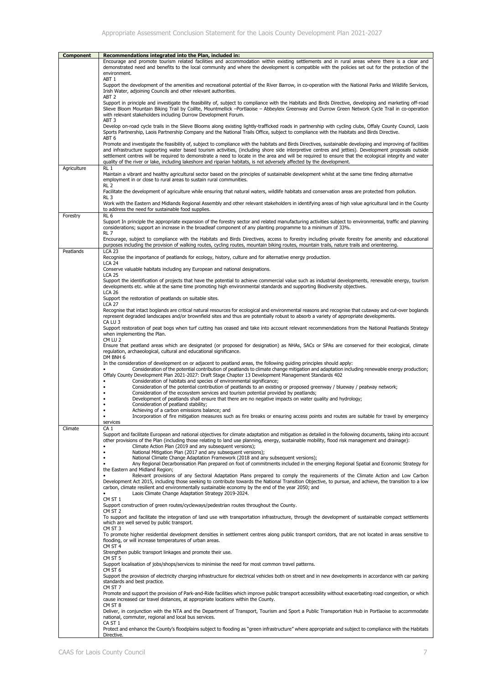| <b>Component</b> | Recommendations integrated into the Plan, included in:                                                                                                                                                                                                                                                                                                                                                                                                                                                                                                                                                   |
|------------------|----------------------------------------------------------------------------------------------------------------------------------------------------------------------------------------------------------------------------------------------------------------------------------------------------------------------------------------------------------------------------------------------------------------------------------------------------------------------------------------------------------------------------------------------------------------------------------------------------------|
|                  | Encourage and promote tourism related facilities and accommodation within existing settlements and in rural areas where there is a clear and<br>demonstrated need and benefits to the local community and where the development is compatible with the policies set out for the protection of the<br>environment.<br>ABT 1                                                                                                                                                                                                                                                                               |
|                  | Support the development of the amenities and recreational potential of the River Barrow, in co-operation with the National Parks and Wildlife Services,<br>Irish Water, adjoining Councils and other relevant authorities.<br>ABT <sub>2</sub>                                                                                                                                                                                                                                                                                                                                                           |
|                  | Support in principle and investigate the feasibility of, subject to compliance with the Habitats and Birds Directive, developing and marketing off-road<br>Slieve Bloom Mountain Biking Trail by Coillte, Mountmellick -- Portlaoise - Abbeyleix Greenway and Durrow Green Network Cycle Trail in co-operation<br>with relevant stakeholders including Durrow Development Forum.<br>ABT <sub>3</sub>                                                                                                                                                                                                     |
|                  | Develop on-road cycle trails in the Slieve Blooms along existing lightly-trafficked roads in partnership with cycling clubs, Offaly County Council, Laois<br>Sports Partnership, Laois Partnership Company and the National Trails Office, subject to compliance with the Habitats and Birds Directive.<br>ABT <sub>6</sub>                                                                                                                                                                                                                                                                              |
|                  | Promote and investigate the feasibility of, subject to compliance with the habitats and Birds Directives, sustainable developing and improving of facilities<br>and infrastructure supporting water based tourism activities, (including shore side interpretive centres and jetties). Development proposals outside<br>settlement centres will be required to demonstrate a need to locate in the area and will be required to ensure that the ecological integrity and water<br>quality of the river or lake, including lakeshore and riparian habitats, is not adversely affected by the development. |
| Agriculture      | RL <sub>1</sub><br>Maintain a vibrant and healthy agricultural sector based on the principles of sustainable development whilst at the same time finding alternative<br>employment in or close to rural areas to sustain rural communities.                                                                                                                                                                                                                                                                                                                                                              |
|                  | RL 2<br>Facilitate the development of agriculture while ensuring that natural waters, wildlife habitats and conservation areas are protected from pollution.<br>RL <sub>3</sub>                                                                                                                                                                                                                                                                                                                                                                                                                          |
|                  | Work with the Eastern and Midlands Regional Assembly and other relevant stakeholders in identifying areas of high value agricultural land in the County<br>to address the need for sustainable food supplies.<br>RL <sub>6</sub>                                                                                                                                                                                                                                                                                                                                                                         |
| Forestry         | Support In principle the appropriate expansion of the forestry sector and related manufacturing activities subject to environmental, traffic and planning<br>considerations; support an increase in the broadleaf component of any planting programme to a minimum of 33%.<br>RL 7                                                                                                                                                                                                                                                                                                                       |
|                  | Encourage, subject to compliance with the Habitats and Birds Directives, access to forestry including private forestry foe amenity and educational<br>purposes including the provision of walking routes, cycling routes, mountain biking routes, mountain trails, nature trails and orienteering.<br><b>LCA 23</b>                                                                                                                                                                                                                                                                                      |
| Peatlands        | Recognise the importance of peatlands for ecology, history, culture and for alternative energy production.<br>$LCA$ 24                                                                                                                                                                                                                                                                                                                                                                                                                                                                                   |
|                  | Conserve valuable habitats including any European and national designations.<br><b>LCA 25</b>                                                                                                                                                                                                                                                                                                                                                                                                                                                                                                            |
|                  | Support the identification of projects that have the potential to achieve commercial value such as industrial developments, renewable energy, tourism<br>developments etc. while at the same time promoting high environmental standards and supporting Biodiversity objectives.<br><b>LCA 26</b>                                                                                                                                                                                                                                                                                                        |
|                  | Support the restoration of peatlands on suitable sites.<br><b>LCA 27</b>                                                                                                                                                                                                                                                                                                                                                                                                                                                                                                                                 |
|                  | Recognise that intact boglands are critical natural resources for ecological and environmental reasons and recognise that cutaway and cut-over boglands<br>represent degraded landscapes and/or brownfield sites and thus are potentially robust to absorb a variety of appropriate developments.<br>CA LU 3                                                                                                                                                                                                                                                                                             |
|                  | Support restoration of peat bogs when turf cutting has ceased and take into account relevant recommendations from the National Peatlands Strategy<br>when implementing the Plan.<br>CM LU <sub>2</sub>                                                                                                                                                                                                                                                                                                                                                                                                   |
|                  | Ensure that peatland areas which are designated (or proposed for designation) as NHAs, SACs or SPAs are conserved for their ecological, climate<br>regulation, archaeological, cultural and educational significance.<br>DM BNH 6                                                                                                                                                                                                                                                                                                                                                                        |
|                  | In the consideration of development on or adjacent to peatland areas, the following guiding principles should apply:<br>Consideration of the potential contribution of peatlands to climate change mitigation and adaptation including renewable energy production;<br>Offaly County Development Plan 2021-2027: Draft Stage Chapter 13 Development Management Standards 402                                                                                                                                                                                                                             |
|                  | Consideration of habitats and species of environmental significance;<br>Consideration of the potential contribution of peatlands to an existing or proposed greenway / blueway / peatway network;<br>Consideration of the ecosystem services and tourism potential provided by peatlands;<br>Development of peatlands shall ensure that there are no negative impacts on water quality and hydrology;                                                                                                                                                                                                    |
|                  | Consideration of peatland stability;<br>Achieving of a carbon emissions balance; and                                                                                                                                                                                                                                                                                                                                                                                                                                                                                                                     |
|                  | $\bullet$<br>Incorporation of fire mitigation measures such as fire breaks or ensuring access points and routes are suitable for travel by emergency<br>services                                                                                                                                                                                                                                                                                                                                                                                                                                         |
| Climate          | CA <sub>1</sub><br>Support and facilitate European and national objectives for climate adaptation and mitigation as detailed in the following documents, taking into account<br>other provisions of the Plan (including those relating to land use planning, energy, sustainable mobility, flood risk management and drainage);<br>Climate Action Plan (2019 and any subsequent versions);<br>٠<br>National Mitigation Plan (2017 and any subsequent versions);                                                                                                                                          |
|                  | National Climate Change Adaptation Framework (2018 and any subsequent versions);<br>٠<br>Any Regional Decarbonisation Plan prepared on foot of commitments included in the emerging Regional Spatial and Economic Strategy for<br>the Eastern and Midland Region:                                                                                                                                                                                                                                                                                                                                        |
|                  | Relevant provisions of any Sectoral Adaptation Plans prepared to comply the requirements of the Climate Action and Low Carbon<br>$\bullet$<br>Development Act 2015, including those seeking to contribute towards the National Transition Objective, to pursue, and achieve, the transition to a low<br>carbon, climate resilient and environmentally sustainable economy by the end of the year 2050; and<br>Laois Climate Change Adaptation Strategy 2019-2024.<br>$\bullet$                                                                                                                           |
|                  | CM ST 1<br>Support construction of green routes/cycleways/pedestrian routes throughout the County.                                                                                                                                                                                                                                                                                                                                                                                                                                                                                                       |
|                  | CM ST 2<br>To support and facilitate the integration of land use with transportation infrastructure, through the development of sustainable compact settlements<br>which are well served by public transport.                                                                                                                                                                                                                                                                                                                                                                                            |
|                  | CM ST 3<br>To promote higher residential development densities in settlement centres along public transport corridors, that are not located in areas sensitive to<br>flooding, or will increase temperatures of urban areas.<br>CM ST 4                                                                                                                                                                                                                                                                                                                                                                  |
|                  | Strengthen public transport linkages and promote their use.<br>CM ST 5                                                                                                                                                                                                                                                                                                                                                                                                                                                                                                                                   |
|                  | Support localisation of jobs/shops/services to minimise the need for most common travel patterns.<br>CM ST 6                                                                                                                                                                                                                                                                                                                                                                                                                                                                                             |
|                  | Support the provision of electricity charging infrastructure for electrical vehicles both on street and in new developments in accordance with car parking<br>standards and best practice.<br>CM ST 7                                                                                                                                                                                                                                                                                                                                                                                                    |
|                  | Promote and support the provision of Park-and-Ride facilities which improve public transport accessibility without exacerbating road congestion, or which<br>cause increased car travel distances, at appropriate locations within the County.<br>CM ST 8                                                                                                                                                                                                                                                                                                                                                |
|                  | Deliver, in conjunction with the NTA and the Department of Transport, Tourism and Sport a Public Transportation Hub in Portlaoise to accommodate<br>national, commuter, regional and local bus services.<br>CA ST 1                                                                                                                                                                                                                                                                                                                                                                                      |
|                  | Protect and enhance the County's floodplains subject to flooding as "green infrastructure" where appropriate and subject to compliance with the Habitats<br>Directive.                                                                                                                                                                                                                                                                                                                                                                                                                                   |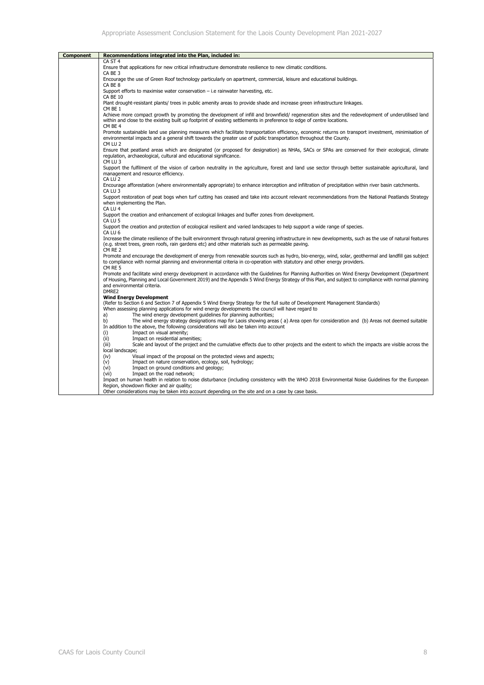| <b>Component</b> | Recommendations integrated into the Plan, included in:                                                                                                                                                              |
|------------------|---------------------------------------------------------------------------------------------------------------------------------------------------------------------------------------------------------------------|
|                  | CA ST <sub>4</sub>                                                                                                                                                                                                  |
|                  | Ensure that applications for new critical infrastructure demonstrate resilience to new climatic conditions.                                                                                                         |
|                  | CA BE 3                                                                                                                                                                                                             |
|                  | Encourage the use of Green Roof technology particularly on apartment, commercial, leisure and educational buildings.                                                                                                |
|                  | CA BE 8                                                                                                                                                                                                             |
|                  | Support efforts to maximise water conservation $-$ i.e rainwater harvesting, etc.                                                                                                                                   |
|                  | <b>CA BE 10</b>                                                                                                                                                                                                     |
|                  | Plant drought-resistant plants/ trees in public amenity areas to provide shade and increase green infrastructure linkages.<br>CM BE 1                                                                               |
|                  | Achieve more compact growth by promoting the development of infill and brownfield/ regeneration sites and the redevelopment of underutilised land                                                                   |
|                  | within and close to the existing built up footprint of existing settlements in preference to edge of centre locations.                                                                                              |
|                  | CM BE 4                                                                                                                                                                                                             |
|                  | Promote sustainable land use planning measures which facilitate transportation efficiency, economic returns on transport investment, minimisation of                                                                |
|                  | environmental impacts and a general shift towards the greater use of public transportation throughout the County.                                                                                                   |
|                  | CM LU <sub>2</sub>                                                                                                                                                                                                  |
|                  | Ensure that peatland areas which are designated (or proposed for designation) as NHAs, SACs or SPAs are conserved for their ecological, climate                                                                     |
|                  | regulation, archaeological, cultural and educational significance.<br>CM LU <sub>3</sub>                                                                                                                            |
|                  | Support the fulfilment of the vision of carbon neutrality in the agriculture, forest and land use sector through better sustainable agricultural, land                                                              |
|                  | management and resource efficiency.                                                                                                                                                                                 |
|                  | CA LU <sub>2</sub>                                                                                                                                                                                                  |
|                  | Encourage afforestation (where environmentally appropriate) to enhance interception and infiltration of precipitation within river basin catchments.                                                                |
|                  | CA LU <sub>3</sub>                                                                                                                                                                                                  |
|                  | Support restoration of peat bogs when turf cutting has ceased and take into account relevant recommendations from the National Peatlands Strategy                                                                   |
|                  | when implementing the Plan.                                                                                                                                                                                         |
|                  | CA LU <sub>4</sub>                                                                                                                                                                                                  |
|                  | Support the creation and enhancement of ecological linkages and buffer zones from development.<br>CA LU <sub>5</sub>                                                                                                |
|                  | Support the creation and protection of ecological resilient and varied landscapes to help support a wide range of species.                                                                                          |
|                  | CA LU <sub>6</sub>                                                                                                                                                                                                  |
|                  | Increase the climate resilience of the built environment through natural greening infrastructure in new developments, such as the use of natural features                                                           |
|                  | (e.g. street trees, green roofs, rain gardens etc) and other materials such as permeable paving.                                                                                                                    |
|                  | CM RE 2                                                                                                                                                                                                             |
|                  | Promote and encourage the development of energy from renewable sources such as hydro, bio-energy, wind, solar, geothermal and landfill gas subject                                                                  |
|                  | to compliance with normal planning and environmental criteria in co-operation with statutory and other energy providers.<br>CM RE 5                                                                                 |
|                  | Promote and facilitate wind energy development in accordance with the Guidelines for Planning Authorities on Wind Energy Development (Department                                                                    |
|                  | of Housing, Planning and Local Government 2019) and the Appendix 5 Wind Energy Strategy of this Plan, and subject to compliance with normal planning                                                                |
|                  | and environmental criteria.                                                                                                                                                                                         |
|                  | DMRE2                                                                                                                                                                                                               |
|                  | <b>Wind Energy Development</b>                                                                                                                                                                                      |
|                  | (Refer to Section 6 and Section 7 of Appendix 5 Wind Energy Strategy for the full suite of Development Management Standards)                                                                                        |
|                  | When assessing planning applications for wind energy developments the council will have regard to                                                                                                                   |
|                  | a)<br>The wind energy development quidelines for planning authorities;<br>b)<br>The wind energy strategy designations map for Laois showing areas (a) Area open for consideration and (b) Areas not deemed suitable |
|                  | In addition to the above, the following considerations will also be taken into account                                                                                                                              |
|                  | (i)<br>Impact on visual amenity;                                                                                                                                                                                    |
|                  | (ii)<br>Impact on residential amenities;                                                                                                                                                                            |
|                  | Scale and layout of the project and the cumulative effects due to other projects and the extent to which the impacts are visible across the<br>(iii)                                                                |
|                  | local landscape;                                                                                                                                                                                                    |
|                  | (iv)<br>Visual impact of the proposal on the protected views and aspects;                                                                                                                                           |
|                  | (v)<br>Impact on nature conservation, ecology, soil, hydrology;                                                                                                                                                     |
|                  | Impact on ground conditions and geology;<br>(vi)<br>Impact on the road network;<br>(vii)                                                                                                                            |
|                  | Impact on human health in relation to noise disturbance (including consistency with the WHO 2018 Environmental Noise Guidelines for the European                                                                    |
|                  | Region, showdown flicker and air quality;                                                                                                                                                                           |
|                  | Other considerations may be taken into account depending on the site and on a case by case basis.                                                                                                                   |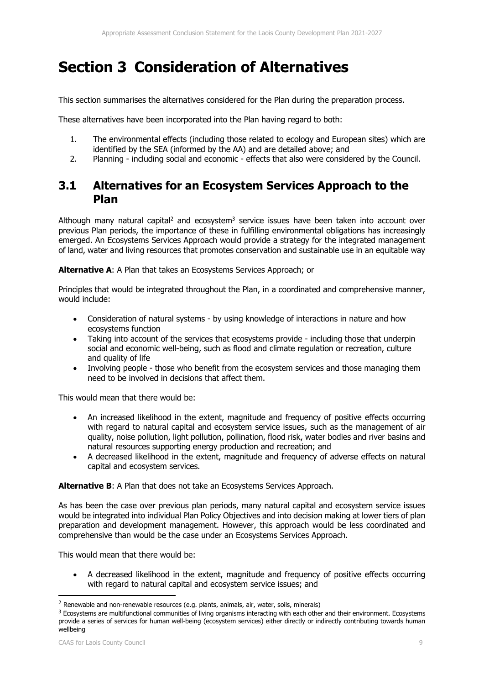## **Section 3 Consideration of Alternatives**

This section summarises the alternatives considered for the Plan during the preparation process.

These alternatives have been incorporated into the Plan having regard to both:

- 1. The environmental effects (including those related to ecology and European sites) which are identified by the SEA (informed by the AA) and are detailed above; and
- 2. Planning including social and economic effects that also were considered by the Council.

### **3.1 Alternatives for an Ecosystem Services Approach to the Plan**

Although many natural capital<sup>2</sup> and ecosystem<sup>3</sup> service issues have been taken into account over previous Plan periods, the importance of these in fulfilling environmental obligations has increasingly emerged. An Ecosystems Services Approach would provide a strategy for the integrated management of land, water and living resources that promotes conservation and sustainable use in an equitable way

**Alternative A**: A Plan that takes an Ecosystems Services Approach; or

Principles that would be integrated throughout the Plan, in a coordinated and comprehensive manner, would include:

- Consideration of natural systems by using knowledge of interactions in nature and how ecosystems function
- Taking into account of the services that ecosystems provide including those that underpin social and economic well-being, such as flood and climate regulation or recreation, culture and quality of life
- Involving people those who benefit from the ecosystem services and those managing them need to be involved in decisions that affect them.

This would mean that there would be:

- An increased likelihood in the extent, magnitude and frequency of positive effects occurring with regard to natural capital and ecosystem service issues, such as the management of air quality, noise pollution, light pollution, pollination, flood risk, water bodies and river basins and natural resources supporting energy production and recreation; and
- A decreased likelihood in the extent, magnitude and frequency of adverse effects on natural capital and ecosystem services.

**Alternative B**: A Plan that does not take an Ecosystems Services Approach.

As has been the case over previous plan periods, many natural capital and ecosystem service issues would be integrated into individual Plan Policy Objectives and into decision making at lower tiers of plan preparation and development management. However, this approach would be less coordinated and comprehensive than would be the case under an Ecosystems Services Approach.

This would mean that there would be:

 A decreased likelihood in the extent, magnitude and frequency of positive effects occurring with regard to natural capital and ecosystem service issues; and

<sup>&</sup>lt;sup>2</sup> Renewable and non-renewable resources (e.g. plants, animals, air, water, soils, minerals)

 $3$  Ecosystems are multifunctional communities of living organisms interacting with each other and their environment. Ecosystems provide a series of services for human well-being (ecosystem services) either directly or indirectly contributing towards human wellbeing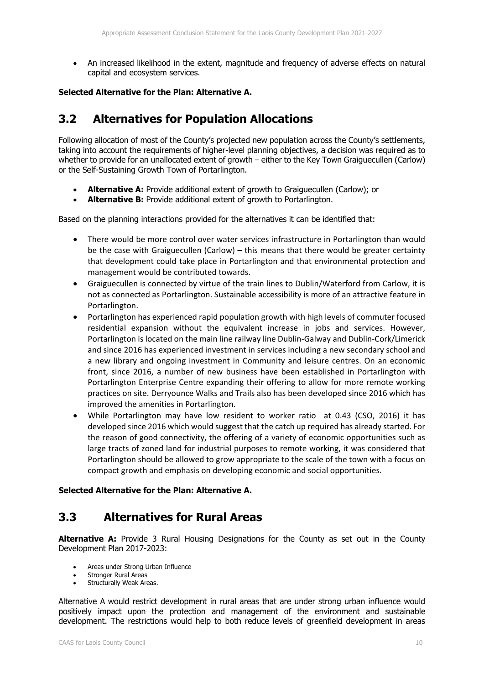An increased likelihood in the extent, magnitude and frequency of adverse effects on natural capital and ecosystem services.

#### **Selected Alternative for the Plan: Alternative A.**

#### **3.2 Alternatives for Population Allocations**

Following allocation of most of the County's projected new population across the County's settlements, taking into account the requirements of higher-level planning objectives, a decision was required as to whether to provide for an unallocated extent of growth – either to the Key Town Graiguecullen (Carlow) or the Self-Sustaining Growth Town of Portarlington.

- **Alternative A:** Provide additional extent of growth to Graiguecullen (Carlow); or
- **Alternative B:** Provide additional extent of growth to Portarlington.

Based on the planning interactions provided for the alternatives it can be identified that:

- There would be more control over water services infrastructure in Portarlington than would be the case with Graiguecullen (Carlow) – this means that there would be greater certainty that development could take place in Portarlington and that environmental protection and management would be contributed towards.
- Graiguecullen is connected by virtue of the train lines to Dublin/Waterford from Carlow, it is not as connected as Portarlington. Sustainable accessibility is more of an attractive feature in Portarlington.
- Portarlington has experienced rapid population growth with high levels of commuter focused residential expansion without the equivalent increase in jobs and services. However, Portarlington is located on the main line railway line Dublin‐Galway and Dublin‐Cork/Limerick and since 2016 has experienced investment in services including a new secondary school and a new library and ongoing investment in Community and leisure centres. On an economic front, since 2016, a number of new business have been established in Portarlington with Portarlington Enterprise Centre expanding their offering to allow for more remote working practices on site. Derryounce Walks and Trails also has been developed since 2016 which has improved the amenities in Portarlington.
- While Portarlington may have low resident to worker ratio at 0.43 (CSO, 2016) it has developed since 2016 which would suggest that the catch up required has already started. For the reason of good connectivity, the offering of a variety of economic opportunities such as large tracts of zoned land for industrial purposes to remote working, it was considered that Portarlington should be allowed to grow appropriate to the scale of the town with a focus on compact growth and emphasis on developing economic and social opportunities.

#### **Selected Alternative for the Plan: Alternative A.**

#### **3.3 Alternatives for Rural Areas**

**Alternative A:** Provide 3 Rural Housing Designations for the County as set out in the County Development Plan 2017-2023:

- Areas under Strong Urban Influence
- Stronger Rural Areas
- Structurally Weak Areas.

Alternative A would restrict development in rural areas that are under strong urban influence would positively impact upon the protection and management of the environment and sustainable development. The restrictions would help to both reduce levels of greenfield development in areas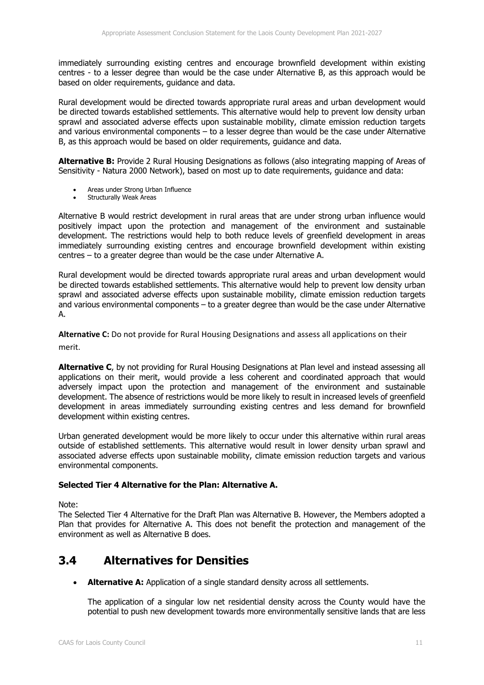immediately surrounding existing centres and encourage brownfield development within existing centres - to a lesser degree than would be the case under Alternative B, as this approach would be based on older requirements, guidance and data.

Rural development would be directed towards appropriate rural areas and urban development would be directed towards established settlements. This alternative would help to prevent low density urban sprawl and associated adverse effects upon sustainable mobility, climate emission reduction targets and various environmental components – to a lesser degree than would be the case under Alternative B, as this approach would be based on older requirements, guidance and data.

**Alternative B:** Provide 2 Rural Housing Designations as follows (also integrating mapping of Areas of Sensitivity - Natura 2000 Network), based on most up to date requirements, guidance and data:

- Areas under Strong Urban Influence
- Structurally Weak Areas

Alternative B would restrict development in rural areas that are under strong urban influence would positively impact upon the protection and management of the environment and sustainable development. The restrictions would help to both reduce levels of greenfield development in areas immediately surrounding existing centres and encourage brownfield development within existing centres – to a greater degree than would be the case under Alternative A.

Rural development would be directed towards appropriate rural areas and urban development would be directed towards established settlements. This alternative would help to prevent low density urban sprawl and associated adverse effects upon sustainable mobility, climate emission reduction targets and various environmental components – to a greater degree than would be the case under Alternative A.

**Alternative C:** Do not provide for Rural Housing Designations and assess all applications on their merit.

**Alternative C**, by not providing for Rural Housing Designations at Plan level and instead assessing all applications on their merit, would provide a less coherent and coordinated approach that would adversely impact upon the protection and management of the environment and sustainable development. The absence of restrictions would be more likely to result in increased levels of greenfield development in areas immediately surrounding existing centres and less demand for brownfield development within existing centres.

Urban generated development would be more likely to occur under this alternative within rural areas outside of established settlements. This alternative would result in lower density urban sprawl and associated adverse effects upon sustainable mobility, climate emission reduction targets and various environmental components.

#### **Selected Tier 4 Alternative for the Plan: Alternative A.**

Note:

The Selected Tier 4 Alternative for the Draft Plan was Alternative B. However, the Members adopted a Plan that provides for Alternative A. This does not benefit the protection and management of the environment as well as Alternative B does.

#### **3.4 Alternatives for Densities**

**Alternative A:** Application of a single standard density across all settlements.

The application of a singular low net residential density across the County would have the potential to push new development towards more environmentally sensitive lands that are less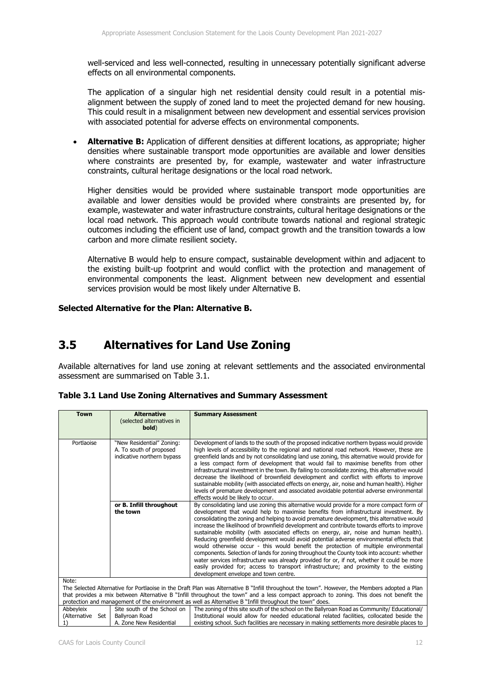well-serviced and less well-connected, resulting in unnecessary potentially significant adverse effects on all environmental components.

The application of a singular high net residential density could result in a potential misalignment between the supply of zoned land to meet the projected demand for new housing. This could result in a misalignment between new development and essential services provision with associated potential for adverse effects on environmental components.

 **Alternative B:** Application of different densities at different locations, as appropriate; higher densities where sustainable transport mode opportunities are available and lower densities where constraints are presented by, for example, wastewater and water infrastructure constraints, cultural heritage designations or the local road network.

Higher densities would be provided where sustainable transport mode opportunities are available and lower densities would be provided where constraints are presented by, for example, wastewater and water infrastructure constraints, cultural heritage designations or the local road network. This approach would contribute towards national and regional strategic outcomes including the efficient use of land, compact growth and the transition towards a low carbon and more climate resilient society.

Alternative B would help to ensure compact, sustainable development within and adjacent to the existing built-up footprint and would conflict with the protection and management of environmental components the least. Alignment between new development and essential services provision would be most likely under Alternative B.

#### **Selected Alternative for the Plan: Alternative B.**

#### **3.5 Alternatives for Land Use Zoning**

Available alternatives for land use zoning at relevant settlements and the associated environmental assessment are summarised on Table 3.1.

|                                       | <b>Alternative</b><br><b>Town</b><br><b>Summary Assessment</b> |                                                                                                                                                                                                                                                     |
|---------------------------------------|----------------------------------------------------------------|-----------------------------------------------------------------------------------------------------------------------------------------------------------------------------------------------------------------------------------------------------|
|                                       | (selected alternatives in                                      |                                                                                                                                                                                                                                                     |
|                                       | bold)                                                          |                                                                                                                                                                                                                                                     |
|                                       |                                                                |                                                                                                                                                                                                                                                     |
| Portlaoise                            | "New Residential" Zoning:                                      | Development of lands to the south of the proposed indicative northern bypass would provide                                                                                                                                                          |
|                                       | A. To south of proposed<br>indicative northern bypass          | high levels of accessibility to the regional and national road network. However, these are<br>greenfield lands and by not consolidating land use zoning, this alternative would provide for                                                         |
|                                       |                                                                | a less compact form of development that would fail to maximise benefits from other                                                                                                                                                                  |
|                                       |                                                                | infrastructural investment in the town. By failing to consolidate zoning, this alternative would                                                                                                                                                    |
|                                       |                                                                | decrease the likelihood of brownfield development and conflict with efforts to improve                                                                                                                                                              |
|                                       |                                                                | sustainable mobility (with associated effects on energy, air, noise and human health). Higher<br>levels of premature development and associated avoidable potential adverse environmental                                                           |
|                                       |                                                                | effects would be likely to occur.                                                                                                                                                                                                                   |
|                                       | or B. Infill throughout                                        | By consolidating land use zoning this alternative would provide for a more compact form of                                                                                                                                                          |
|                                       | the town                                                       | development that would help to maximise benefits from infrastructural investment. By                                                                                                                                                                |
|                                       |                                                                | consolidating the zoning and helping to avoid premature development, this alternative would<br>increase the likelihood of brownfield development and contribute towards efforts to improve                                                          |
|                                       |                                                                | sustainable mobility (with associated effects on energy, air, noise and human health).                                                                                                                                                              |
|                                       |                                                                | Reducing greenfield development would avoid potential adverse environmental effects that                                                                                                                                                            |
|                                       |                                                                | would otherwise occur - this would benefit the protection of multiple environmental                                                                                                                                                                 |
|                                       |                                                                | components. Selection of lands for zoning throughout the County took into account: whether<br>water services infrastructure was already provided for or, if not, whether it could be more                                                           |
|                                       |                                                                | easily provided for; access to transport infrastructure; and proximity to the existing                                                                                                                                                              |
| development envelope and town centre. |                                                                |                                                                                                                                                                                                                                                     |
| Note:                                 |                                                                |                                                                                                                                                                                                                                                     |
|                                       |                                                                | The Selected Alternative for Portlaoise in the Draft Plan was Alternative B "Infill throughout the town". However, the Members adopted a Plan                                                                                                       |
|                                       |                                                                | that provides a mix between Alternative B "Infill throughout the town" and a less compact approach to zoning. This does not benefit the<br>protection and management of the environment as well as Alternative B "Infill throughout the town" does. |
| Abbevleix                             | Site south of the School on                                    | The zoning of this site south of the school on the Ballyroan Road as Community/ Educational/                                                                                                                                                        |
| (Alternative Set                      | Ballyroan Road                                                 | Institutional would allow for needed educational related facilities, collocated beside the                                                                                                                                                          |
| 1)                                    | A. Zone New Residential                                        | existing school. Such facilities are necessary in making settlements more desirable places to                                                                                                                                                       |

|  |  |  | Table 3.1 Land Use Zoning Alternatives and Summary Assessment |  |  |
|--|--|--|---------------------------------------------------------------|--|--|
|--|--|--|---------------------------------------------------------------|--|--|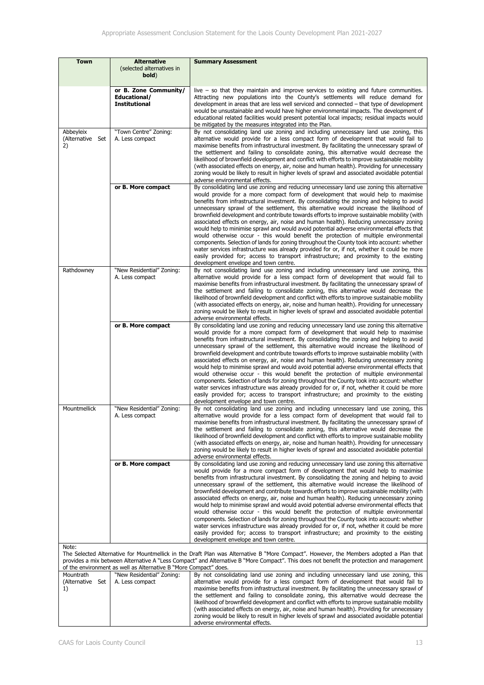| <b>Town</b>                                                                                                                                                                                                                                                                                                                                                      | <b>Alternative</b>                                            | <b>Summary Assessment</b>                                                                                                                                                                                                                                                                                                                                                                                                                                                                                                                                                                                                                                                                                                                                                                                                                                                                                                                                                                                                                                                              |
|------------------------------------------------------------------------------------------------------------------------------------------------------------------------------------------------------------------------------------------------------------------------------------------------------------------------------------------------------------------|---------------------------------------------------------------|----------------------------------------------------------------------------------------------------------------------------------------------------------------------------------------------------------------------------------------------------------------------------------------------------------------------------------------------------------------------------------------------------------------------------------------------------------------------------------------------------------------------------------------------------------------------------------------------------------------------------------------------------------------------------------------------------------------------------------------------------------------------------------------------------------------------------------------------------------------------------------------------------------------------------------------------------------------------------------------------------------------------------------------------------------------------------------------|
|                                                                                                                                                                                                                                                                                                                                                                  | (selected alternatives in<br>bold)                            |                                                                                                                                                                                                                                                                                                                                                                                                                                                                                                                                                                                                                                                                                                                                                                                                                                                                                                                                                                                                                                                                                        |
|                                                                                                                                                                                                                                                                                                                                                                  | or B. Zone Community/<br>Educational/<br><b>Institutional</b> | $\mu$ ive $-$ so that they maintain and improve services to existing and future communities.<br>Attracting new populations into the County's settlements will reduce demand for<br>development in areas that are less well serviced and connected $-$ that type of development<br>would be unsustainable and would have higher environmental impacts. The development of<br>educational related facilities would present potential local impacts; residual impacts would<br>be mitigated by the measures integrated into the Plan.                                                                                                                                                                                                                                                                                                                                                                                                                                                                                                                                                     |
| Abbeyleix<br>(Alternative Set<br>2)                                                                                                                                                                                                                                                                                                                              | "Town Centre" Zoning:<br>A. Less compact                      | By not consolidating land use zoning and including unnecessary land use zoning, this<br>alternative would provide for a less compact form of development that would fail to<br>maximise benefits from infrastructural investment. By facilitating the unnecessary sprawl of<br>the settlement and failing to consolidate zoning, this alternative would decrease the<br>likelihood of brownfield development and conflict with efforts to improve sustainable mobility<br>(with associated effects on energy, air, noise and human health). Providing for unnecessary<br>zoning would be likely to result in higher levels of sprawl and associated avoidable potential<br>adverse environmental effects.                                                                                                                                                                                                                                                                                                                                                                              |
|                                                                                                                                                                                                                                                                                                                                                                  | or B. More compact                                            | By consolidating land use zoning and reducing unnecessary land use zoning this alternative<br>would provide for a more compact form of development that would help to maximise<br>benefits from infrastructural investment. By consolidating the zoning and helping to avoid<br>unnecessary sprawl of the settlement, this alternative would increase the likelihood of<br>brownfield development and contribute towards efforts to improve sustainable mobility (with<br>associated effects on energy, air, noise and human health). Reducing unnecessary zoning<br>would help to minimise sprawl and would avoid potential adverse environmental effects that<br>would otherwise occur - this would benefit the protection of multiple environmental<br>components. Selection of lands for zoning throughout the County took into account: whether<br>water services infrastructure was already provided for or, if not, whether it could be more<br>easily provided for; access to transport infrastructure; and proximity to the existing<br>development envelope and town centre. |
| Rathdowney                                                                                                                                                                                                                                                                                                                                                       | "New Residential" Zoning:<br>A. Less compact                  | By not consolidating land use zoning and including unnecessary land use zoning, this<br>alternative would provide for a less compact form of development that would fail to<br>maximise benefits from infrastructural investment. By facilitating the unnecessary sprawl of<br>the settlement and failing to consolidate zoning, this alternative would decrease the<br>likelihood of brownfield development and conflict with efforts to improve sustainable mobility<br>(with associated effects on energy, air, noise and human health). Providing for unnecessary<br>zoning would be likely to result in higher levels of sprawl and associated avoidable potential<br>adverse environmental effects.                                                                                                                                                                                                                                                                                                                                                                              |
|                                                                                                                                                                                                                                                                                                                                                                  | or B. More compact                                            | By consolidating land use zoning and reducing unnecessary land use zoning this alternative<br>would provide for a more compact form of development that would help to maximise<br>benefits from infrastructural investment. By consolidating the zoning and helping to avoid<br>unnecessary sprawl of the settlement, this alternative would increase the likelihood of<br>brownfield development and contribute towards efforts to improve sustainable mobility (with<br>associated effects on energy, air, noise and human health). Reducing unnecessary zoning<br>would help to minimise sprawl and would avoid potential adverse environmental effects that<br>would otherwise occur - this would benefit the protection of multiple environmental<br>components. Selection of lands for zoning throughout the County took into account: whether<br>water services infrastructure was already provided for or, if not, whether it could be more<br>easily provided for; access to transport infrastructure; and proximity to the existing<br>development envelope and town centre. |
| Mountmellick                                                                                                                                                                                                                                                                                                                                                     | "New Residential" Zoning:<br>A. Less compact                  | By not consolidating land use zoning and including unnecessary land use zoning, this<br>alternative would provide for a less compact form of development that would fail to<br>maximise benefits from infrastructural investment. By facilitating the unnecessary sprawl of<br>the settlement and failing to consolidate zoning, this alternative would decrease the<br>likelihood of brownfield development and conflict with efforts to improve sustainable mobility<br>(with associated effects on energy, air, noise and human health). Providing for unnecessary<br>zoning would be likely to result in higher levels of sprawl and associated avoidable potential<br>adverse environmental effects.                                                                                                                                                                                                                                                                                                                                                                              |
|                                                                                                                                                                                                                                                                                                                                                                  | or B. More compact                                            | By consolidating land use zoning and reducing unnecessary land use zoning this alternative<br>would provide for a more compact form of development that would help to maximise<br>benefits from infrastructural investment. By consolidating the zoning and helping to avoid<br>unnecessary sprawl of the settlement, this alternative would increase the likelihood of<br>brownfield development and contribute towards efforts to improve sustainable mobility (with<br>associated effects on energy, air, noise and human health). Reducing unnecessary zoning<br>would help to minimise sprawl and would avoid potential adverse environmental effects that<br>would otherwise occur - this would benefit the protection of multiple environmental<br>components. Selection of lands for zoning throughout the County took into account: whether<br>water services infrastructure was already provided for or, if not, whether it could be more<br>easily provided for; access to transport infrastructure; and proximity to the existing<br>development envelope and town centre. |
| Note:<br>The Selected Alternative for Mountmellick in the Draft Plan was Alternative B "More Compact". However, the Members adopted a Plan that<br>provides a mix between Alternative A "Less Compact" and Alternative B "More Compact". This does not benefit the protection and management<br>of the environment as well as Alternative B "More Compact" does. |                                                               |                                                                                                                                                                                                                                                                                                                                                                                                                                                                                                                                                                                                                                                                                                                                                                                                                                                                                                                                                                                                                                                                                        |
| Mountrath<br>(Alternative Set<br>1)                                                                                                                                                                                                                                                                                                                              | "New Residential" Zoning:<br>A. Less compact                  | By not consolidating land use zoning and including unnecessary land use zoning, this<br>alternative would provide for a less compact form of development that would fail to<br>maximise benefits from infrastructural investment. By facilitating the unnecessary sprawl of<br>the settlement and failing to consolidate zoning, this alternative would decrease the<br>likelihood of brownfield development and conflict with efforts to improve sustainable mobility                                                                                                                                                                                                                                                                                                                                                                                                                                                                                                                                                                                                                 |

adverse environmental effects.

(with associated effects on energy, air, noise and human health). Providing for unnecessary zoning would be likely to result in higher levels of sprawl and associated avoidable potential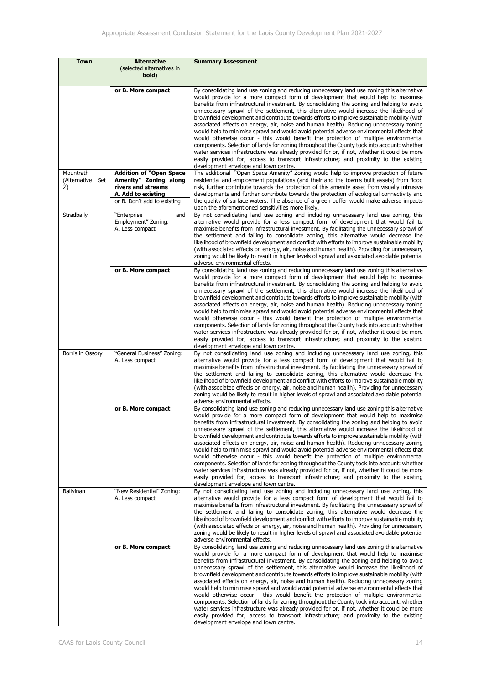| Town                                | <b>Alternative</b><br>(selected alternatives in<br>bold)                                                                           | <b>Summary Assessment</b>                                                                                                                                                                                                                                                                                                                                                                                                                                                                                                                                                                                                                                                                                                                                                                                                                                                                                                                                                                                                                                                              |
|-------------------------------------|------------------------------------------------------------------------------------------------------------------------------------|----------------------------------------------------------------------------------------------------------------------------------------------------------------------------------------------------------------------------------------------------------------------------------------------------------------------------------------------------------------------------------------------------------------------------------------------------------------------------------------------------------------------------------------------------------------------------------------------------------------------------------------------------------------------------------------------------------------------------------------------------------------------------------------------------------------------------------------------------------------------------------------------------------------------------------------------------------------------------------------------------------------------------------------------------------------------------------------|
|                                     | or B. More compact                                                                                                                 | By consolidating land use zoning and reducing unnecessary land use zoning this alternative<br>would provide for a more compact form of development that would help to maximise<br>benefits from infrastructural investment. By consolidating the zoning and helping to avoid<br>unnecessary sprawl of the settlement, this alternative would increase the likelihood of<br>brownfield development and contribute towards efforts to improve sustainable mobility (with<br>associated effects on energy, air, noise and human health). Reducing unnecessary zoning<br>would help to minimise sprawl and would avoid potential adverse environmental effects that<br>would otherwise occur - this would benefit the protection of multiple environmental<br>components. Selection of lands for zoning throughout the County took into account: whether<br>water services infrastructure was already provided for or, if not, whether it could be more<br>easily provided for; access to transport infrastructure; and proximity to the existing<br>development envelope and town centre. |
| Mountrath<br>(Alternative Set<br>2) | <b>Addition of "Open Space</b><br>Amenity" Zoning along<br>rivers and streams<br>A. Add to existing<br>or B. Don't add to existing | The additional "Open Space Amenity" Zoning would help to improve protection of future<br>residential and employment populations (and their and the town's built assets) from flood<br>risk, further contribute towards the protection of this amenity asset from visually intrusive<br>developments and further contribute towards the protection of ecological connectivity and<br>the quality of surface waters. The absence of a green buffer would make adverse impacts<br>upon the aforementioned sensitivities more likely.                                                                                                                                                                                                                                                                                                                                                                                                                                                                                                                                                      |
| Stradbally                          | "Enterprise<br>and<br>Employment" Zoning:<br>A. Less compact                                                                       | By not consolidating land use zoning and including unnecessary land use zoning, this<br>alternative would provide for a less compact form of development that would fail to<br>maximise benefits from infrastructural investment. By facilitating the unnecessary sprawl of<br>the settlement and failing to consolidate zoning, this alternative would decrease the<br>likelihood of brownfield development and conflict with efforts to improve sustainable mobility<br>(with associated effects on energy, air, noise and human health). Providing for unnecessary<br>zoning would be likely to result in higher levels of sprawl and associated avoidable potential<br>adverse environmental effects.                                                                                                                                                                                                                                                                                                                                                                              |
|                                     | or B. More compact                                                                                                                 | By consolidating land use zoning and reducing unnecessary land use zoning this alternative<br>would provide for a more compact form of development that would help to maximise<br>benefits from infrastructural investment. By consolidating the zoning and helping to avoid<br>unnecessary sprawl of the settlement, this alternative would increase the likelihood of<br>brownfield development and contribute towards efforts to improve sustainable mobility (with<br>associated effects on energy, air, noise and human health). Reducing unnecessary zoning<br>would help to minimise sprawl and would avoid potential adverse environmental effects that<br>would otherwise occur - this would benefit the protection of multiple environmental<br>components. Selection of lands for zoning throughout the County took into account: whether<br>water services infrastructure was already provided for or, if not, whether it could be more<br>easily provided for; access to transport infrastructure; and proximity to the existing<br>development envelope and town centre. |
| Borris in Ossory                    | "General Business" Zoning:<br>A. Less compact                                                                                      | By not consolidating land use zoning and including unnecessary land use zoning, this<br>alternative would provide for a less compact form of development that would fail to<br>maximise benefits from infrastructural investment. By facilitating the unnecessary sprawl of<br>the settlement and failing to consolidate zoning, this alternative would decrease the<br>likelihood of brownfield development and conflict with efforts to improve sustainable mobility<br>(with associated effects on energy, air, noise and human health). Providing for unnecessary<br>zoning would be likely to result in higher levels of sprawl and associated avoidable potential<br>adverse environmental effects.                                                                                                                                                                                                                                                                                                                                                                              |
|                                     | or B. More compact                                                                                                                 | By consolidating land use zoning and reducing unnecessary land use zoning this alternative<br>would provide for a more compact form of development that would help to maximise<br>benefits from infrastructural investment. By consolidating the zoning and helping to avoid<br>unnecessary sprawl of the settlement, this alternative would increase the likelihood of<br>brownfield development and contribute towards efforts to improve sustainable mobility (with<br>associated effects on energy, air, noise and human health). Reducing unnecessary zoning<br>would help to minimise sprawl and would avoid potential adverse environmental effects that<br>would otherwise occur - this would benefit the protection of multiple environmental<br>components. Selection of lands for zoning throughout the County took into account: whether<br>water services infrastructure was already provided for or, if not, whether it could be more<br>easily provided for; access to transport infrastructure; and proximity to the existing<br>development envelope and town centre. |
| Ballyinan                           | "New Residential" Zoning:<br>A. Less compact                                                                                       | By not consolidating land use zoning and including unnecessary land use zoning, this<br>alternative would provide for a less compact form of development that would fail to<br>maximise benefits from infrastructural investment. By facilitating the unnecessary sprawl of<br>the settlement and failing to consolidate zoning, this alternative would decrease the<br>likelihood of brownfield development and conflict with efforts to improve sustainable mobility<br>(with associated effects on energy, air, noise and human health). Providing for unnecessary<br>zoning would be likely to result in higher levels of sprawl and associated avoidable potential<br>adverse environmental effects.                                                                                                                                                                                                                                                                                                                                                                              |
|                                     | or B. More compact                                                                                                                 | By consolidating land use zoning and reducing unnecessary land use zoning this alternative<br>would provide for a more compact form of development that would help to maximise<br>benefits from infrastructural investment. By consolidating the zoning and helping to avoid<br>unnecessary sprawl of the settlement, this alternative would increase the likelihood of<br>brownfield development and contribute towards efforts to improve sustainable mobility (with<br>associated effects on energy, air, noise and human health). Reducing unnecessary zoning<br>would help to minimise sprawl and would avoid potential adverse environmental effects that<br>would otherwise occur - this would benefit the protection of multiple environmental<br>components. Selection of lands for zoning throughout the County took into account: whether<br>water services infrastructure was already provided for or, if not, whether it could be more<br>easily provided for; access to transport infrastructure; and proximity to the existing<br>development envelope and town centre. |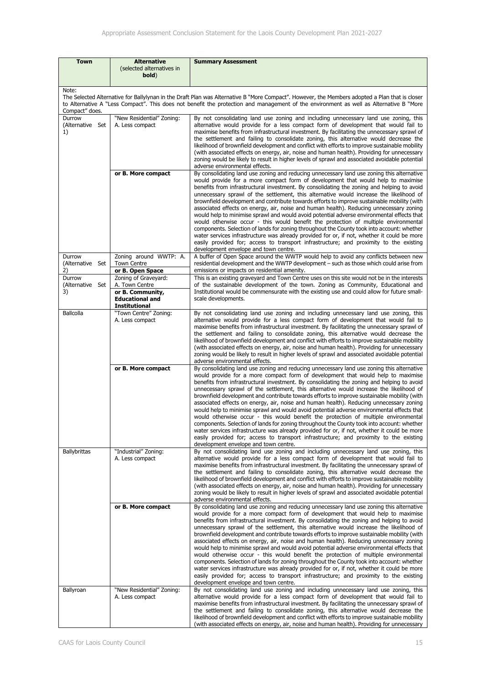| Town                                                                                                                                                                                                                                                                                                                | <b>Alternative</b><br>(selected alternatives in<br>bold)                                                     | <b>Summary Assessment</b>                                                                                                                                                                                                                                                                                                                                                                                                                                                                                                                                                                                                                                                                                                                                                                                                                                                                                                                                                                                                                                                              |
|---------------------------------------------------------------------------------------------------------------------------------------------------------------------------------------------------------------------------------------------------------------------------------------------------------------------|--------------------------------------------------------------------------------------------------------------|----------------------------------------------------------------------------------------------------------------------------------------------------------------------------------------------------------------------------------------------------------------------------------------------------------------------------------------------------------------------------------------------------------------------------------------------------------------------------------------------------------------------------------------------------------------------------------------------------------------------------------------------------------------------------------------------------------------------------------------------------------------------------------------------------------------------------------------------------------------------------------------------------------------------------------------------------------------------------------------------------------------------------------------------------------------------------------------|
| Note:<br>The Selected Alternative for Ballylynan in the Draft Plan was Alternative B "More Compact". However, the Members adopted a Plan that is closer<br>to Alternative A "Less Compact". This does not benefit the protection and management of the environment as well as Alternative B "More<br>Compact" does. |                                                                                                              |                                                                                                                                                                                                                                                                                                                                                                                                                                                                                                                                                                                                                                                                                                                                                                                                                                                                                                                                                                                                                                                                                        |
| Durrow<br>(Alternative Set<br>1)                                                                                                                                                                                                                                                                                    | "New Residential" Zoning:<br>A. Less compact                                                                 | By not consolidating land use zoning and including unnecessary land use zoning, this<br>alternative would provide for a less compact form of development that would fail to<br>maximise benefits from infrastructural investment. By facilitating the unnecessary sprawl of<br>the settlement and failing to consolidate zoning, this alternative would decrease the<br>likelihood of brownfield development and conflict with efforts to improve sustainable mobility<br>(with associated effects on energy, air, noise and human health). Providing for unnecessary<br>zoning would be likely to result in higher levels of sprawl and associated avoidable potential<br>adverse environmental effects.                                                                                                                                                                                                                                                                                                                                                                              |
|                                                                                                                                                                                                                                                                                                                     | or B. More compact                                                                                           | By consolidating land use zoning and reducing unnecessary land use zoning this alternative<br>would provide for a more compact form of development that would help to maximise<br>benefits from infrastructural investment. By consolidating the zoning and helping to avoid<br>unnecessary sprawl of the settlement, this alternative would increase the likelihood of<br>brownfield development and contribute towards efforts to improve sustainable mobility (with<br>associated effects on energy, air, noise and human health). Reducing unnecessary zoning<br>would help to minimise sprawl and would avoid potential adverse environmental effects that<br>would otherwise occur - this would benefit the protection of multiple environmental<br>components. Selection of lands for zoning throughout the County took into account: whether<br>water services infrastructure was already provided for or, if not, whether it could be more<br>easily provided for; access to transport infrastructure; and proximity to the existing<br>development envelope and town centre. |
| Durrow<br>(Alternative Set<br>2)                                                                                                                                                                                                                                                                                    | Zoning around WWTP: A.<br><b>Town Centre</b><br>or B. Open Space                                             | A buffer of Open Space around the WWTP would help to avoid any conflicts between new<br>residential development and the WWTP development – such as those which could arise from<br>emissions or impacts on residential amenity.                                                                                                                                                                                                                                                                                                                                                                                                                                                                                                                                                                                                                                                                                                                                                                                                                                                        |
| Durrow<br>(Alternative Set<br>3)                                                                                                                                                                                                                                                                                    | Zoning of Graveyard:<br>A. Town Centre<br>or B. Community,<br><b>Educational and</b><br><b>Institutional</b> | This is an existing graveyard and Town Centre uses on this site would not be in the interests<br>of the sustainable development of the town. Zoning as Community, Educational and<br>Institutional would be commensurate with the existing use and could allow for future small-<br>scale developments.                                                                                                                                                                                                                                                                                                                                                                                                                                                                                                                                                                                                                                                                                                                                                                                |
| Ballcolla                                                                                                                                                                                                                                                                                                           | "Town Centre" Zoning:<br>A. Less compact                                                                     | By not consolidating land use zoning and including unnecessary land use zoning, this<br>alternative would provide for a less compact form of development that would fail to<br>maximise benefits from infrastructural investment. By facilitating the unnecessary sprawl of<br>the settlement and failing to consolidate zoning, this alternative would decrease the<br>likelihood of brownfield development and conflict with efforts to improve sustainable mobility<br>(with associated effects on energy, air, noise and human health). Providing for unnecessary<br>zoning would be likely to result in higher levels of sprawl and associated avoidable potential<br>adverse environmental effects.                                                                                                                                                                                                                                                                                                                                                                              |
|                                                                                                                                                                                                                                                                                                                     | or B. More compact                                                                                           | By consolidating land use zoning and reducing unnecessary land use zoning this alternative<br>would provide for a more compact form of development that would help to maximise<br>benefits from infrastructural investment. By consolidating the zoning and helping to avoid<br>unnecessary sprawl of the settlement, this alternative would increase the likelihood of<br>brownfield development and contribute towards efforts to improve sustainable mobility (with<br>associated effects on energy, air, noise and human health). Reducing unnecessary zoning<br>would help to minimise sprawl and would avoid potential adverse environmental effects that<br>would otherwise occur - this would benefit the protection of multiple environmental<br>components. Selection of lands for zoning throughout the County took into account: whether<br>water services infrastructure was already provided for or, if not, whether it could be more<br>easily provided for; access to transport infrastructure; and proximity to the existing<br>development envelope and town centre. |
| Ballybrittas                                                                                                                                                                                                                                                                                                        | "Industrial" Zoning:<br>A. Less compact                                                                      | By not consolidating land use zoning and including unnecessary land use zoning, this<br>alternative would provide for a less compact form of development that would fail to<br>maximise benefits from infrastructural investment. By facilitating the unnecessary sprawl of<br>the settlement and failing to consolidate zoning, this alternative would decrease the<br>likelihood of brownfield development and conflict with efforts to improve sustainable mobility<br>(with associated effects on energy, air, noise and human health). Providing for unnecessary<br>zoning would be likely to result in higher levels of sprawl and associated avoidable potential<br>adverse environmental effects.                                                                                                                                                                                                                                                                                                                                                                              |
|                                                                                                                                                                                                                                                                                                                     | or B. More compact                                                                                           | By consolidating land use zoning and reducing unnecessary land use zoning this alternative<br>would provide for a more compact form of development that would help to maximise<br>benefits from infrastructural investment. By consolidating the zoning and helping to avoid<br>unnecessary sprawl of the settlement, this alternative would increase the likelihood of<br>brownfield development and contribute towards efforts to improve sustainable mobility (with<br>associated effects on energy, air, noise and human health). Reducing unnecessary zoning<br>would help to minimise sprawl and would avoid potential adverse environmental effects that<br>would otherwise occur - this would benefit the protection of multiple environmental<br>components. Selection of lands for zoning throughout the County took into account: whether<br>water services infrastructure was already provided for or, if not, whether it could be more<br>easily provided for; access to transport infrastructure; and proximity to the existing<br>development envelope and town centre. |
| Ballyroan                                                                                                                                                                                                                                                                                                           | "New Residential" Zoning:<br>A. Less compact                                                                 | By not consolidating land use zoning and including unnecessary land use zoning, this<br>alternative would provide for a less compact form of development that would fail to<br>maximise benefits from infrastructural investment. By facilitating the unnecessary sprawl of<br>the settlement and failing to consolidate zoning, this alternative would decrease the<br>likelihood of brownfield development and conflict with efforts to improve sustainable mobility<br>(with associated effects on energy, air, noise and human health). Providing for unnecessary                                                                                                                                                                                                                                                                                                                                                                                                                                                                                                                  |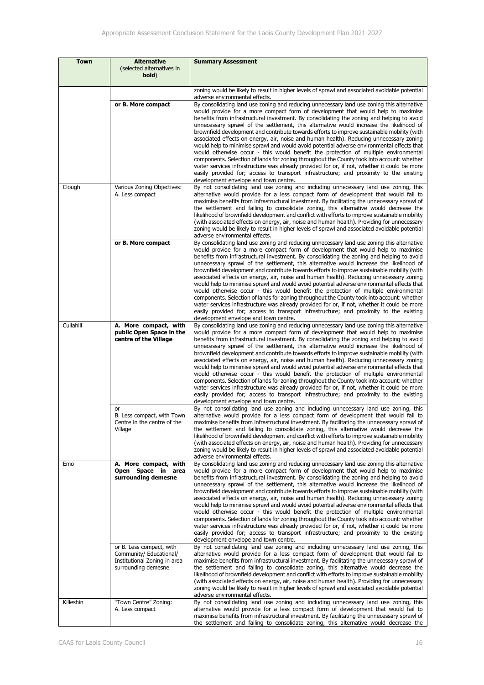| <b>Town</b> | <b>Alternative</b><br>(selected alternatives in<br>bold)                                                   | <b>Summary Assessment</b>                                                                                                                                                                                                                                                                                                                                                                                                                                                                                                                                                                                                                                                                                                                                                                                                                                                                                                                                                                                                                                                                                                |
|-------------|------------------------------------------------------------------------------------------------------------|--------------------------------------------------------------------------------------------------------------------------------------------------------------------------------------------------------------------------------------------------------------------------------------------------------------------------------------------------------------------------------------------------------------------------------------------------------------------------------------------------------------------------------------------------------------------------------------------------------------------------------------------------------------------------------------------------------------------------------------------------------------------------------------------------------------------------------------------------------------------------------------------------------------------------------------------------------------------------------------------------------------------------------------------------------------------------------------------------------------------------|
|             |                                                                                                            | zoning would be likely to result in higher levels of sprawl and associated avoidable potential                                                                                                                                                                                                                                                                                                                                                                                                                                                                                                                                                                                                                                                                                                                                                                                                                                                                                                                                                                                                                           |
|             | or B. More compact                                                                                         | adverse environmental effects.<br>By consolidating land use zoning and reducing unnecessary land use zoning this alternative<br>would provide for a more compact form of development that would help to maximise<br>benefits from infrastructural investment. By consolidating the zoning and helping to avoid<br>unnecessary sprawl of the settlement, this alternative would increase the likelihood of<br>brownfield development and contribute towards efforts to improve sustainable mobility (with<br>associated effects on energy, air, noise and human health). Reducing unnecessary zoning<br>would help to minimise sprawl and would avoid potential adverse environmental effects that<br>would otherwise occur - this would benefit the protection of multiple environmental<br>components. Selection of lands for zoning throughout the County took into account: whether<br>water services infrastructure was already provided for or, if not, whether it could be more<br>easily provided for; access to transport infrastructure; and proximity to the existing<br>development envelope and town centre. |
| Clough      | Various Zoning Objectives:<br>A. Less compact                                                              | By not consolidating land use zoning and including unnecessary land use zoning, this<br>alternative would provide for a less compact form of development that would fail to<br>maximise benefits from infrastructural investment. By facilitating the unnecessary sprawl of<br>the settlement and failing to consolidate zoning, this alternative would decrease the<br>likelihood of brownfield development and conflict with efforts to improve sustainable mobility<br>(with associated effects on energy, air, noise and human health). Providing for unnecessary<br>zoning would be likely to result in higher levels of sprawl and associated avoidable potential<br>adverse environmental effects.                                                                                                                                                                                                                                                                                                                                                                                                                |
|             | or B. More compact                                                                                         | By consolidating land use zoning and reducing unnecessary land use zoning this alternative<br>would provide for a more compact form of development that would help to maximise<br>benefits from infrastructural investment. By consolidating the zoning and helping to avoid<br>unnecessary sprawl of the settlement, this alternative would increase the likelihood of<br>brownfield development and contribute towards efforts to improve sustainable mobility (with<br>associated effects on energy, air, noise and human health). Reducing unnecessary zoning<br>would help to minimise sprawl and would avoid potential adverse environmental effects that<br>would otherwise occur - this would benefit the protection of multiple environmental<br>components. Selection of lands for zoning throughout the County took into account: whether<br>water services infrastructure was already provided for or, if not, whether it could be more<br>easily provided for; access to transport infrastructure; and proximity to the existing<br>development envelope and town centre.                                   |
| Cullahill   | A. More compact, with<br>public Open Space in the<br>centre of the Village                                 | By consolidating land use zoning and reducing unnecessary land use zoning this alternative<br>would provide for a more compact form of development that would help to maximise<br>benefits from infrastructural investment. By consolidating the zoning and helping to avoid<br>unnecessary sprawl of the settlement, this alternative would increase the likelihood of<br>brownfield development and contribute towards efforts to improve sustainable mobility (with<br>associated effects on energy, air, noise and human health). Reducing unnecessary zoning<br>would help to minimise sprawl and would avoid potential adverse environmental effects that<br>would otherwise occur - this would benefit the protection of multiple environmental<br>components. Selection of lands for zoning throughout the County took into account: whether<br>water services infrastructure was already provided for or, if not, whether it could be more<br>easily provided for; access to transport infrastructure; and proximity to the existing<br>development envelope and town centre.                                   |
|             | or<br>B. Less compact, with Town<br>Centre in the centre of the<br>Village                                 | By not consolidating land use zoning and including unnecessary land use zoning, this<br>alternative would provide for a less compact form of development that would fail to<br>maximise benefits from infrastructural investment. By facilitating the unnecessary sprawl of<br>the settlement and failing to consolidate zoning, this alternative would decrease the<br>likelihood of brownfield development and conflict with efforts to improve sustainable mobility<br>(with associated effects on energy, air, noise and human health). Providing for unnecessary<br>zoning would be likely to result in higher levels of sprawl and associated avoidable potential<br>adverse environmental effects.                                                                                                                                                                                                                                                                                                                                                                                                                |
| Emo         | A. More compact, with<br>Open Space in<br>area<br>surrounding demesne                                      | By consolidating land use zoning and reducing unnecessary land use zoning this alternative<br>would provide for a more compact form of development that would help to maximise<br>benefits from infrastructural investment. By consolidating the zoning and helping to avoid<br>unnecessary sprawl of the settlement, this alternative would increase the likelihood of<br>brownfield development and contribute towards efforts to improve sustainable mobility (with<br>associated effects on energy, air, noise and human health). Reducing unnecessary zoning<br>would help to minimise sprawl and would avoid potential adverse environmental effects that<br>would otherwise occur - this would benefit the protection of multiple environmental<br>components. Selection of lands for zoning throughout the County took into account: whether<br>water services infrastructure was already provided for or, if not, whether it could be more<br>easily provided for; access to transport infrastructure; and proximity to the existing<br>development envelope and town centre.                                   |
|             | or B. Less compact, with<br>Community/ Educational/<br>Institutional Zoning in area<br>surrounding demesne | By not consolidating land use zoning and including unnecessary land use zoning, this<br>alternative would provide for a less compact form of development that would fail to<br>maximise benefits from infrastructural investment. By facilitating the unnecessary sprawl of<br>the settlement and failing to consolidate zoning, this alternative would decrease the<br>likelihood of brownfield development and conflict with efforts to improve sustainable mobility<br>(with associated effects on energy, air, noise and human health). Providing for unnecessary<br>zoning would be likely to result in higher levels of sprawl and associated avoidable potential<br>adverse environmental effects.                                                                                                                                                                                                                                                                                                                                                                                                                |
| Killeshin   | "Town Centre" Zoning:<br>A. Less compact                                                                   | By not consolidating land use zoning and including unnecessary land use zoning, this<br>alternative would provide for a less compact form of development that would fail to<br>maximise benefits from infrastructural investment. By facilitating the unnecessary sprawl of<br>the settlement and failing to consolidate zoning, this alternative would decrease the                                                                                                                                                                                                                                                                                                                                                                                                                                                                                                                                                                                                                                                                                                                                                     |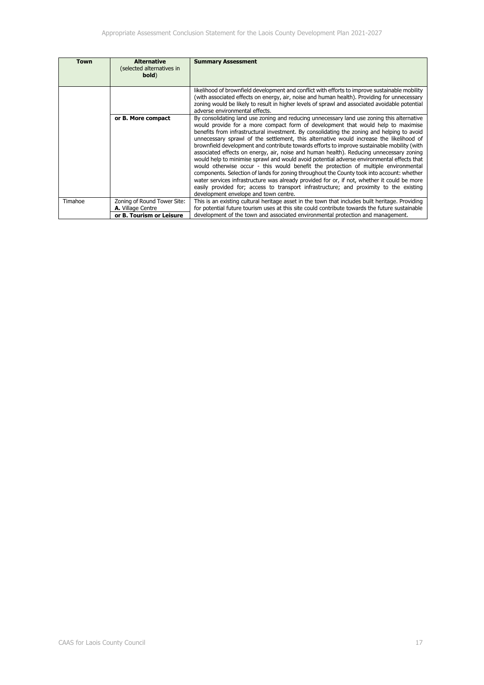| Town    | <b>Alternative</b><br>(selected alternatives in<br>bold) | <b>Summary Assessment</b>                                                                                                                                                                                                                                                                                                                                                                                                                                                                                                                                                                                                                                                                                                                                                                                                                                                                                                                                                                                                                                                              |
|---------|----------------------------------------------------------|----------------------------------------------------------------------------------------------------------------------------------------------------------------------------------------------------------------------------------------------------------------------------------------------------------------------------------------------------------------------------------------------------------------------------------------------------------------------------------------------------------------------------------------------------------------------------------------------------------------------------------------------------------------------------------------------------------------------------------------------------------------------------------------------------------------------------------------------------------------------------------------------------------------------------------------------------------------------------------------------------------------------------------------------------------------------------------------|
|         |                                                          |                                                                                                                                                                                                                                                                                                                                                                                                                                                                                                                                                                                                                                                                                                                                                                                                                                                                                                                                                                                                                                                                                        |
|         |                                                          | likelihood of brownfield development and conflict with efforts to improve sustainable mobility<br>(with associated effects on energy, air, noise and human health). Providing for unnecessary<br>zoning would be likely to result in higher levels of sprawl and associated avoidable potential<br>adverse environmental effects.                                                                                                                                                                                                                                                                                                                                                                                                                                                                                                                                                                                                                                                                                                                                                      |
|         | or B. More compact                                       | By consolidating land use zoning and reducing unnecessary land use zoning this alternative<br>would provide for a more compact form of development that would help to maximise<br>benefits from infrastructural investment. By consolidating the zoning and helping to avoid<br>unnecessary sprawl of the settlement, this alternative would increase the likelihood of<br>brownfield development and contribute towards efforts to improve sustainable mobility (with<br>associated effects on energy, air, noise and human health). Reducing unnecessary zoning<br>would help to minimise sprawl and would avoid potential adverse environmental effects that<br>would otherwise occur - this would benefit the protection of multiple environmental<br>components. Selection of lands for zoning throughout the County took into account: whether<br>water services infrastructure was already provided for or, if not, whether it could be more<br>easily provided for; access to transport infrastructure; and proximity to the existing<br>development envelope and town centre. |
| Timahoe | Zoning of Round Tower Site:<br>A. Village Centre         | This is an existing cultural heritage asset in the town that includes built heritage. Providing<br>for potential future tourism uses at this site could contribute towards the future sustainable                                                                                                                                                                                                                                                                                                                                                                                                                                                                                                                                                                                                                                                                                                                                                                                                                                                                                      |
|         | or B. Tourism or Leisure                                 | development of the town and associated environmental protection and management.                                                                                                                                                                                                                                                                                                                                                                                                                                                                                                                                                                                                                                                                                                                                                                                                                                                                                                                                                                                                        |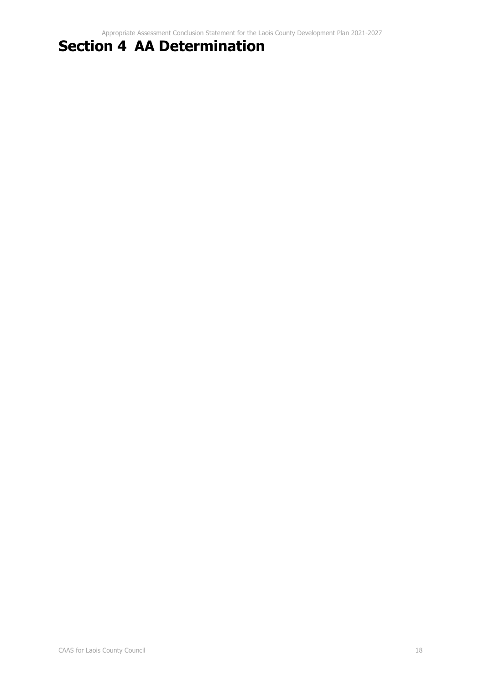# **Section 4 AA Determination**